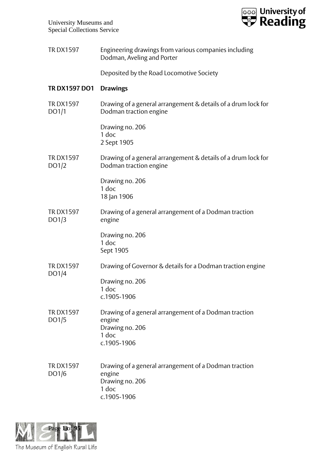

| TR DX1597 | Engineering drawings from various companies including |
|-----------|-------------------------------------------------------|
|           | Dodman, Aveling and Porter                            |

Deposited by the Road Locomotive Society

## **TR DX1597 DO1 Drawings**

TR DX1597 DO1/1 Drawing of a general arrangement & details of a drum lock for Dodman traction engine

> Drawing no. 206 1 doc 2 Sept 1905

TR DX1597 DO1/2 Drawing of a general arrangement & details of a drum lock for Dodman traction engine

> Drawing no. 206 1 doc 18 Jan 1906

TR DX1597 DO1/3 Drawing of a general arrangement of a Dodman traction engine

> Drawing no. 206 1 doc Sept 1905

TR DX1597 DO1/4 Drawing of Governor & details for a Dodman traction engine Drawing no. 206

1 doc c.1905-1906

- TR DX1597 DO1/5 Drawing of a general arrangement of a Dodman traction engine Drawing no. 206 1 doc c.1905-1906
- TR DX1597 DO1/6 Drawing of a general arrangement of a Dodman traction engine Drawing no. 206 1 doc c.1905-1906

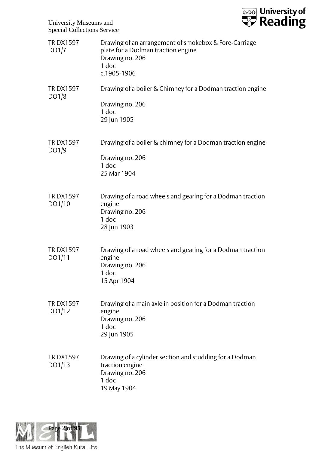

| <b>TRDX1597</b><br>DO1/7  | Drawing of an arrangement of smokebox & Fore-Carriage<br>plate for a Dodman traction engine<br>Drawing no. 206<br>1 doc<br>c.1905-1906 |
|---------------------------|----------------------------------------------------------------------------------------------------------------------------------------|
| <b>TRDX1597</b><br>DO1/8  | Drawing of a boiler & Chimney for a Dodman traction engine<br>Drawing no. 206<br>$1$ doc<br>29 Jun 1905                                |
| <b>TRDX1597</b><br>DO1/9  | Drawing of a boiler & chimney for a Dodman traction engine<br>Drawing no. 206<br>1 doc<br>25 Mar 1904                                  |
| <b>TRDX1597</b><br>DO1/10 | Drawing of a road wheels and gearing for a Dodman traction<br>engine<br>Drawing no. 206<br>1 doc<br>28 Jun 1903                        |
| <b>TRDX1597</b><br>DO1/11 | Drawing of a road wheels and gearing for a Dodman traction<br>engine<br>Drawing no. 206<br>1 doc<br>15 Apr 1904                        |
| <b>TRDX1597</b><br>DO1/12 | Drawing of a main axle in position for a Dodman traction<br>engine<br>Drawing no. 206<br>$1$ doc<br>29 Jun 1905                        |
| <b>TRDX1597</b><br>DO1/13 | Drawing of a cylinder section and studding for a Dodman<br>traction engine<br>Drawing no. 206<br>1 doc<br>19 May 1904                  |

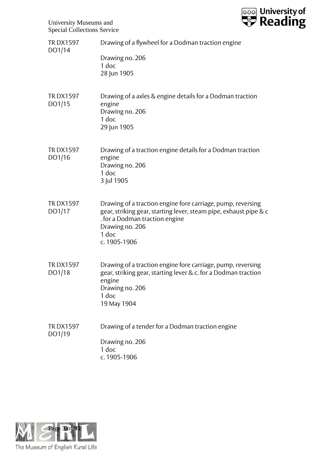**ssa** University of

University Museums and Special Collections Service

| <b>TRDX1597</b><br>DO1/14 | Drawing of a flywheel for a Dodman traction engine<br>Drawing no. 206<br>$1$ doc<br>28 Jun 1905                                                                                                                |
|---------------------------|----------------------------------------------------------------------------------------------------------------------------------------------------------------------------------------------------------------|
| <b>TRDX1597</b><br>DO1/15 | Drawing of a axles & engine details for a Dodman traction<br>engine<br>Drawing no. 206<br>1 doc<br>29 Jun 1905                                                                                                 |
| <b>TRDX1597</b><br>DO1/16 | Drawing of a traction engine details for a Dodman traction<br>engine<br>Drawing no. 206<br>$1$ doc<br>3 Jul 1905                                                                                               |
| <b>TRDX1597</b><br>DO1/17 | Drawing of a traction engine fore carriage, pump, reversing<br>gear, striking gear, starting lever, steam pipe, exhaust pipe & c<br>. for a Dodman traction engine<br>Drawing no. 206<br>1 doc<br>c. 1905-1906 |
| <b>TRDX1597</b><br>DO1/18 | Drawing of a traction engine fore carriage, pump, reversing<br>gear, striking gear, starting lever & c. for a Dodman traction<br>engine<br>Drawing no. 206<br>1 doc<br>19 May 1904                             |
| <b>TRDX1597</b><br>DO1/19 | Drawing of a tender for a Dodman traction engine<br>Drawing no. 206<br>1 doc<br>c. 1905-1906                                                                                                                   |

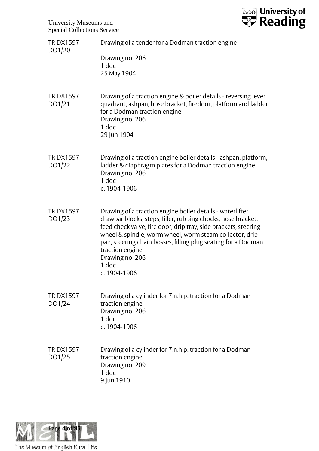University Museums and Special Collections Service



| <b>TRDX1597</b><br>DO1/20 | Drawing of a tender for a Dodman traction engine<br>Drawing no. 206<br>1 doc<br>25 May 1904                                                                                                                                                                                                                                                                                              |
|---------------------------|------------------------------------------------------------------------------------------------------------------------------------------------------------------------------------------------------------------------------------------------------------------------------------------------------------------------------------------------------------------------------------------|
| <b>TRDX1597</b><br>DO1/21 | Drawing of a traction engine & boiler details - reversing lever<br>quadrant, ashpan, hose bracket, firedoor, platform and ladder<br>for a Dodman traction engine<br>Drawing no. 206<br>1 doc<br>29 Jun 1904                                                                                                                                                                              |
| <b>TRDX1597</b><br>DO1/22 | Drawing of a traction engine boiler details - ashpan, platform,<br>ladder & diaphragm plates for a Dodman traction engine<br>Drawing no. 206<br>1 doc<br>c. 1904-1906                                                                                                                                                                                                                    |
| <b>TRDX1597</b><br>DO1/23 | Drawing of a traction engine boiler details - waterlifter,<br>drawbar blocks, steps, filler, rubbing chocks, hose bracket,<br>feed check valve, fire door, drip tray, side brackets, steering<br>wheel & spindle, worm wheel, worm steam collector, drip<br>pan, steering chain bosses, filling plug seating for a Dodman<br>traction engine<br>Drawing no. 206<br>1 doc<br>c. 1904-1906 |
| <b>TRDX1597</b><br>DO1/24 | Drawing of a cylinder for 7.n.h.p. traction for a Dodman<br>traction engine<br>Drawing no. 206<br>1 doc<br>c. 1904-1906                                                                                                                                                                                                                                                                  |
| <b>TRDX1597</b><br>DO1/25 | Drawing of a cylinder for 7.n.h.p. traction for a Dodman<br>traction engine<br>Drawing no. 209<br>1 doc<br>9 Jun 1910                                                                                                                                                                                                                                                                    |

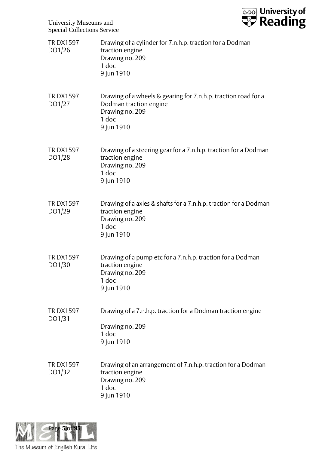

| <b>TRDX1597</b><br>DO1/26 | Drawing of a cylinder for 7.n.h.p. traction for a Dodman<br>traction engine<br>Drawing no. 209<br>$1$ doc<br>9 Jun 1910            |
|---------------------------|------------------------------------------------------------------------------------------------------------------------------------|
| <b>TRDX1597</b><br>DO1/27 | Drawing of a wheels & gearing for 7.n.h.p. traction road for a<br>Dodman traction engine<br>Drawing no. 209<br>1 doc<br>9 Jun 1910 |
| <b>TRDX1597</b><br>DO1/28 | Drawing of a steering gear for a 7.n.h.p. traction for a Dodman<br>traction engine<br>Drawing no. 209<br>1 doc<br>9 Jun 1910       |
| <b>TRDX1597</b><br>DO1/29 | Drawing of a axles & shafts for a 7.n.h.p. traction for a Dodman<br>traction engine<br>Drawing no. 209<br>1 doc<br>9 Jun 1910      |
| <b>TRDX1597</b><br>DO1/30 | Drawing of a pump etc for a 7.n.h.p. traction for a Dodman<br>traction engine<br>Drawing no. 209<br>1 doc<br>9 Jun 1910            |
| <b>TRDX1597</b><br>DO1/31 | Drawing of a 7.n.h.p. traction for a Dodman traction engine<br>Drawing no. 209<br>1 doc<br>9 Jun 1910                              |
| <b>TRDX1597</b><br>DO1/32 | Drawing of an arrangement of 7.n.h.p. traction for a Dodman<br>traction engine<br>Drawing no. 209<br>1 doc<br>9 Jun 1910           |

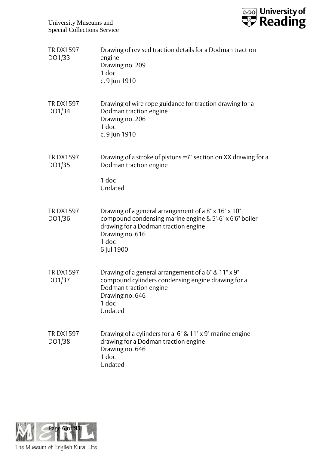

| <b>TRDX1597</b><br>DO1/33 | Drawing of revised traction details for a Dodman traction<br>engine<br>Drawing no. 209<br>1 doc<br>c. 9 Jun 1910                                                                                  |
|---------------------------|---------------------------------------------------------------------------------------------------------------------------------------------------------------------------------------------------|
| <b>TRDX1597</b><br>DO1/34 | Drawing of wire rope guidance for traction drawing for a<br>Dodman traction engine<br>Drawing no. 206<br>$1$ doc<br>c. 9 Jun 1910                                                                 |
| <b>TRDX1597</b><br>DO1/35 | Drawing of a stroke of pistons =7" section on XX drawing for a<br>Dodman traction engine<br>1 doc<br>Undated                                                                                      |
| <b>TRDX1597</b><br>DO1/36 | Drawing of a general arrangement of a 8" x 16" x 10"<br>compound condensing marine engine & 5'-6" x 6'6" boiler<br>drawing for a Dodman traction engine<br>Drawing no. 616<br>1 doc<br>6 Jul 1900 |
| <b>TRDX1597</b><br>DO1/37 | Drawing of a general arrangement of a 6" & 11" x 9"<br>compound cylinders condensing engine drawing for a<br>Dodman traction engine<br>Drawing no. 646<br>$1$ doc<br>Undated                      |
| <b>TRDX1597</b><br>DO1/38 | Drawing of a cylinders for a 6" & 11" x 9" marine engine<br>drawing for a Dodman traction engine<br>Drawing no. 646<br>1 doc<br>Undated                                                           |

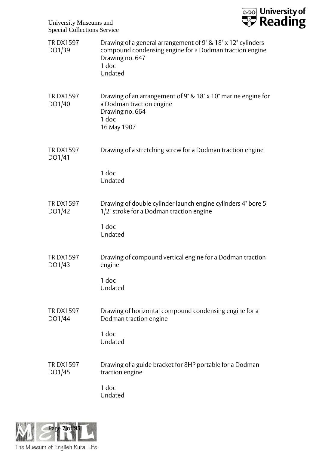

| <b>TRDX1597</b><br>DO1/39 | Drawing of a general arrangement of 9" & 18" x 12" cylinders<br>compound condensing engine for a Dodman traction engine<br>Drawing no. 647<br>1 doc<br>Undated |
|---------------------------|----------------------------------------------------------------------------------------------------------------------------------------------------------------|
| <b>TRDX1597</b><br>DO1/40 | Drawing of an arrangement of 9" & 18" x 10" marine engine for<br>a Dodman traction engine<br>Drawing no. 664<br>1 doc<br>16 May 1907                           |
| <b>TRDX1597</b><br>DO1/41 | Drawing of a stretching screw for a Dodman traction engine                                                                                                     |
|                           | 1 doc<br>Undated                                                                                                                                               |
| <b>TRDX1597</b><br>DO1/42 | Drawing of double cylinder launch engine cylinders 4" bore 5<br>1/2" stroke for a Dodman traction engine                                                       |
|                           | 1 doc<br>Undated                                                                                                                                               |
| <b>TRDX1597</b><br>DO1/43 | Drawing of compound vertical engine for a Dodman traction<br>engine                                                                                            |
|                           | 1 doc<br>Undated                                                                                                                                               |
| <b>TRDX1597</b><br>DO1/44 | Drawing of horizontal compound condensing engine for a<br>Dodman traction engine                                                                               |
|                           | 1 doc<br>Undated                                                                                                                                               |
| <b>TRDX1597</b><br>DO1/45 | Drawing of a guide bracket for 8HP portable for a Dodman<br>traction engine                                                                                    |
|                           | 1 doc<br>Undated                                                                                                                                               |

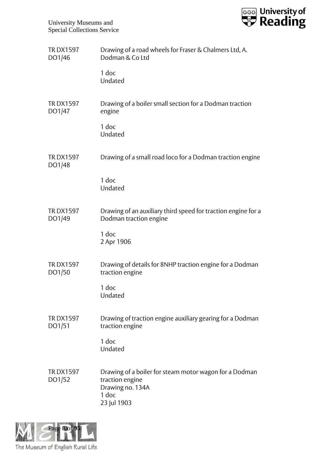

| <b>TRDX1597</b><br>DO1/46 | Drawing of a road wheels for Fraser & Chalmers Ltd, A.<br>Dodman & Co Ltd                                             |
|---------------------------|-----------------------------------------------------------------------------------------------------------------------|
|                           | 1 doc<br>Undated                                                                                                      |
| <b>TRDX1597</b><br>DO1/47 | Drawing of a boiler small section for a Dodman traction<br>engine                                                     |
|                           | 1 doc<br>Undated                                                                                                      |
| <b>TRDX1597</b><br>DO1/48 | Drawing of a small road loco for a Dodman traction engine                                                             |
|                           | 1 doc<br>Undated                                                                                                      |
| <b>TRDX1597</b><br>DO1/49 | Drawing of an auxiliary third speed for traction engine for a<br>Dodman traction engine                               |
|                           | 1 doc<br>2 Apr 1906                                                                                                   |
| <b>TRDX1597</b><br>DO1/50 | Drawing of details for 8NHP traction engine for a Dodman<br>traction engine                                           |
|                           | 1 doc<br>Undated                                                                                                      |
| <b>TRDX1597</b><br>DO1/51 | Drawing of traction engine auxiliary gearing for a Dodman<br>traction engine                                          |
|                           | 1 doc<br>Undated                                                                                                      |
| <b>TRDX1597</b><br>DO1/52 | Drawing of a boiler for steam motor wagon for a Dodman<br>traction engine<br>Drawing no. 134A<br>1 doc<br>23 Jul 1903 |

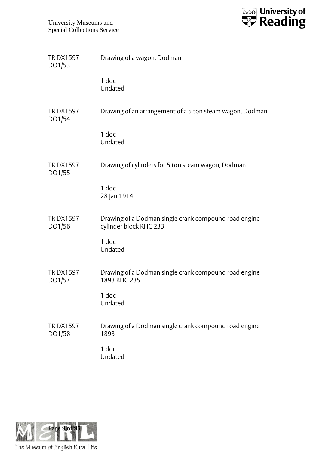

| <b>TRDX1597</b><br>DO1/53 | Drawing of a wagon, Dodman                                                      |
|---------------------------|---------------------------------------------------------------------------------|
|                           | 1 doc<br>Undated                                                                |
| <b>TRDX1597</b><br>DO1/54 | Drawing of an arrangement of a 5 ton steam wagon, Dodman                        |
|                           | 1 doc<br>Undated                                                                |
| <b>TRDX1597</b><br>DO1/55 | Drawing of cylinders for 5 ton steam wagon, Dodman                              |
|                           | 1 doc<br>28 Jan 1914                                                            |
| <b>TRDX1597</b><br>DO1/56 | Drawing of a Dodman single crank compound road engine<br>cylinder block RHC 233 |
|                           | 1 doc<br>Undated                                                                |
| <b>TRDX1597</b><br>DO1/57 | Drawing of a Dodman single crank compound road engine<br>1893 RHC 235           |
|                           | 1 doc<br>Undated                                                                |
| <b>TRDX1597</b><br>DO1/58 | Drawing of a Dodman single crank compound road engine<br>1893                   |
|                           | 1 doc<br>Undated                                                                |

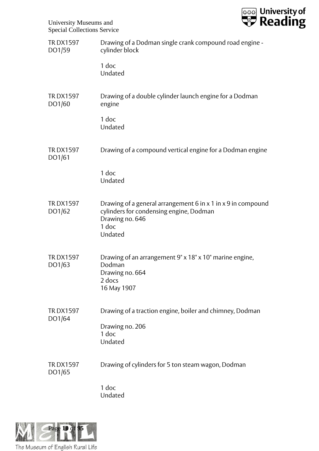

| <b>TRDX1597</b><br>DO1/59 | Drawing of a Dodman single crank compound road engine -<br>cylinder block                                                                      |
|---------------------------|------------------------------------------------------------------------------------------------------------------------------------------------|
|                           | $1$ doc<br>Undated                                                                                                                             |
| <b>TRDX1597</b><br>DO1/60 | Drawing of a double cylinder launch engine for a Dodman<br>engine                                                                              |
|                           | 1 doc<br>Undated                                                                                                                               |
| <b>TRDX1597</b><br>DO1/61 | Drawing of a compound vertical engine for a Dodman engine                                                                                      |
|                           | 1 doc<br>Undated                                                                                                                               |
| <b>TRDX1597</b><br>DO1/62 | Drawing of a general arrangement 6 in x 1 in x 9 in compound<br>cylinders for condensing engine, Dodman<br>Drawing no. 646<br>1 doc<br>Undated |
| <b>TRDX1597</b><br>DO1/63 | Drawing of an arrangement 9" x 18" x 10" marine engine,<br>Dodman<br>Drawing no. 664<br>2 docs<br>16 May 1907                                  |
| <b>TRDX1597</b><br>DO1/64 | Drawing of a traction engine, boiler and chimney, Dodman<br>Drawing no. 206<br>1 doc<br>Undated                                                |
| <b>TRDX1597</b><br>DO1/65 | Drawing of cylinders for 5 ton steam wagon, Dodman                                                                                             |
|                           | 1 doc<br>Undated                                                                                                                               |

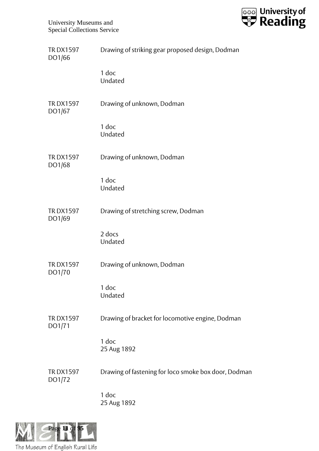

| <b>TRDX1597</b><br>DO1/66 | Drawing of striking gear proposed design, Dodman     |
|---------------------------|------------------------------------------------------|
|                           | 1 doc<br>Undated                                     |
| <b>TRDX1597</b><br>DO1/67 | Drawing of unknown, Dodman                           |
|                           | 1 doc<br>Undated                                     |
| <b>TRDX1597</b><br>DO1/68 | Drawing of unknown, Dodman                           |
|                           | 1 doc<br>Undated                                     |
| <b>TRDX1597</b><br>DO1/69 | Drawing of stretching screw, Dodman                  |
|                           | 2 docs<br>Undated                                    |
| <b>TRDX1597</b><br>DO1/70 | Drawing of unknown, Dodman                           |
|                           | 1 doc<br>Undated                                     |
| <b>TRDX1597</b><br>DO1/71 | Drawing of bracket for locomotive engine, Dodman     |
|                           | 1 doc<br>25 Aug 1892                                 |
| <b>TRDX1597</b><br>DO1/72 | Drawing of fastening for loco smoke box door, Dodman |
|                           | 1 doc<br>25 Aug 1892                                 |

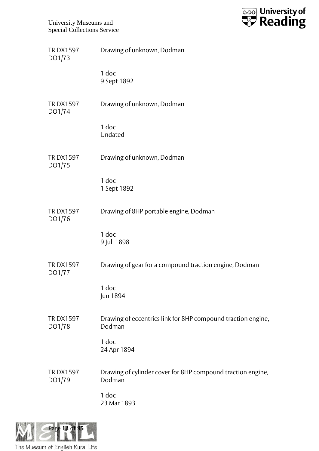

| <b>TRDX1597</b><br>DO1/73 | Drawing of unknown, Dodman                                             |
|---------------------------|------------------------------------------------------------------------|
|                           | 1 doc<br>9 Sept 1892                                                   |
| <b>TRDX1597</b><br>DO1/74 | Drawing of unknown, Dodman                                             |
|                           | 1 doc<br>Undated                                                       |
| <b>TRDX1597</b><br>DO1/75 | Drawing of unknown, Dodman                                             |
|                           | 1 doc<br>1 Sept 1892                                                   |
| <b>TRDX1597</b><br>DO1/76 | Drawing of 8HP portable engine, Dodman                                 |
|                           | 1 doc<br>9 Jul 1898                                                    |
| <b>TRDX1597</b><br>DO1/77 | Drawing of gear for a compound traction engine, Dodman                 |
|                           | 1 doc<br>Jun 1894                                                      |
| <b>TRDX1597</b><br>DO1/78 | Drawing of eccentrics link for 8HP compound traction engine,<br>Dodman |
|                           | 1 doc<br>24 Apr 1894                                                   |
| <b>TRDX1597</b><br>DO1/79 | Drawing of cylinder cover for 8HP compound traction engine,<br>Dodman  |
|                           | 1 doc<br>23 Mar 1893                                                   |

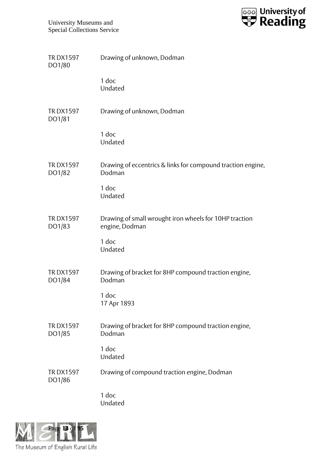

| <b>TRDX1597</b><br>DO1/80 | Drawing of unknown, Dodman                                               |
|---------------------------|--------------------------------------------------------------------------|
|                           | $1$ doc<br>Undated                                                       |
| <b>TRDX1597</b><br>DO1/81 | Drawing of unknown, Dodman                                               |
|                           | 1 doc<br>Undated                                                         |
| <b>TRDX1597</b><br>DO1/82 | Drawing of eccentrics & links for compound traction engine,<br>Dodman    |
|                           | 1 doc<br>Undated                                                         |
| <b>TRDX1597</b><br>DO1/83 | Drawing of small wrought iron wheels for 10HP traction<br>engine, Dodman |
|                           | 1 doc<br>Undated                                                         |
| <b>TRDX1597</b><br>DO1/84 | Drawing of bracket for 8HP compound traction engine,<br>Dodman           |
|                           | 1 doc<br>17 Apr 1893                                                     |
| <b>TRDX1597</b><br>DO1/85 | Drawing of bracket for 8HP compound traction engine,<br>Dodman           |
|                           | 1 doc<br>Undated                                                         |
| <b>TRDX1597</b><br>DO1/86 | Drawing of compound traction engine, Dodman                              |
|                           | 1 doc<br>Undated                                                         |

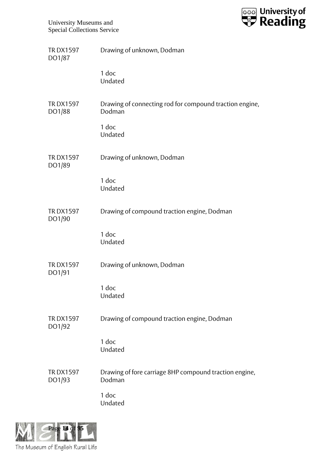

| <b>TRDX1597</b><br>DO1/87 | Drawing of unknown, Dodman                                        |
|---------------------------|-------------------------------------------------------------------|
|                           | 1 doc<br>Undated                                                  |
| <b>TRDX1597</b><br>DO1/88 | Drawing of connecting rod for compound traction engine,<br>Dodman |
|                           | 1 doc<br>Undated                                                  |
| <b>TRDX1597</b><br>DO1/89 | Drawing of unknown, Dodman                                        |
|                           | 1 doc<br>Undated                                                  |
| <b>TRDX1597</b><br>DO1/90 | Drawing of compound traction engine, Dodman                       |
|                           | 1 doc<br>Undated                                                  |
| <b>TRDX1597</b><br>DO1/91 | Drawing of unknown, Dodman                                        |
|                           | 1 doc<br>Undated                                                  |
| <b>TRDX1597</b><br>DO1/92 | Drawing of compound traction engine, Dodman                       |
|                           | 1 doc<br>Undated                                                  |
| <b>TRDX1597</b><br>DO1/93 | Drawing of fore carriage 8HP compound traction engine,<br>Dodman  |
|                           | 1 doc<br>Undated                                                  |

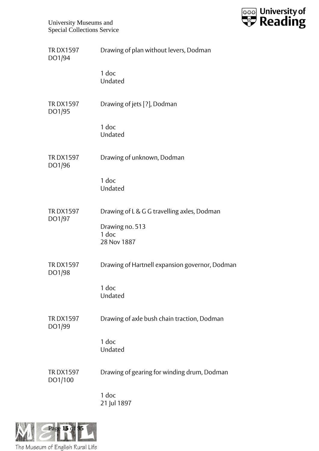

| <b>TRDX1597</b><br>DO1/94  | Drawing of plan without levers, Dodman         |
|----------------------------|------------------------------------------------|
|                            | 1 doc<br>Undated                               |
| <b>TRDX1597</b><br>DO1/95  | Drawing of jets [?], Dodman                    |
|                            | 1 doc<br>Undated                               |
| <b>TRDX1597</b><br>DO1/96  | Drawing of unknown, Dodman                     |
|                            | 1 doc<br>Undated                               |
| <b>TRDX1597</b><br>DO1/97  | Drawing of L & G G travelling axles, Dodman    |
|                            | Drawing no. 513<br>1 doc<br>28 Nov 1887        |
| <b>TRDX1597</b><br>DO1/98  | Drawing of Hartnell expansion governor, Dodman |
|                            | 1 doc<br>Undated                               |
| <b>TRDX1597</b><br>DO1/99  | Drawing of axle bush chain traction, Dodman    |
|                            | 1 doc<br>Undated                               |
| <b>TRDX1597</b><br>DO1/100 | Drawing of gearing for winding drum, Dodman    |
|                            | 1 doc<br>21 Jul 1897                           |

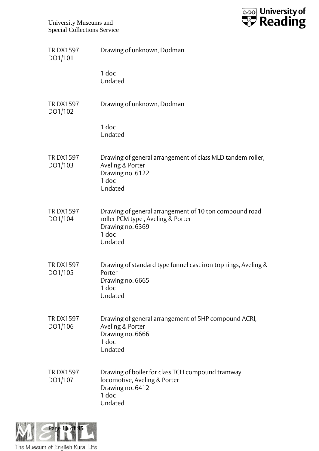

| <b>TRDX1597</b><br>DO1/101 | Drawing of unknown, Dodman                                                                                                            |
|----------------------------|---------------------------------------------------------------------------------------------------------------------------------------|
|                            | 1 doc<br>Undated                                                                                                                      |
| <b>TRDX1597</b><br>DO1/102 | Drawing of unknown, Dodman                                                                                                            |
|                            | 1 doc<br>Undated                                                                                                                      |
| <b>TRDX1597</b><br>DO1/103 | Drawing of general arrangement of class MLD tandem roller,<br>Aveling & Porter<br>Drawing no. 6122<br>1 doc<br>Undated                |
| <b>TRDX1597</b><br>DO1/104 | Drawing of general arrangement of 10 ton compound road<br>roller PCM type, Aveling & Porter<br>Drawing no. 6369<br>$1$ doc<br>Undated |
| <b>TRDX1597</b><br>DO1/105 | Drawing of standard type funnel cast iron top rings, Aveling &<br>Porter<br>Drawing no. 6665<br>1 doc<br>Undated                      |
| <b>TRDX1597</b><br>DO1/106 | Drawing of general arrangement of 5HP compound ACRI,<br>Aveling & Porter<br>Drawing no. 6666<br>$1$ doc<br>Undated                    |
| <b>TRDX1597</b><br>DO1/107 | Drawing of boiler for class TCH compound tramway<br>locomotive, Aveling & Porter<br>Drawing no. 6412<br>1 doc<br>Undated              |

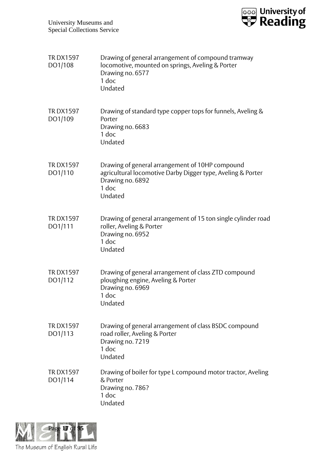

| <b>TRDX1597</b><br>DO1/108 | Drawing of general arrangement of compound tramway<br>locomotive, mounted on springs, Aveling & Porter<br>Drawing no. 6577<br>1 doc<br>Undated         |
|----------------------------|--------------------------------------------------------------------------------------------------------------------------------------------------------|
| <b>TRDX1597</b><br>DO1/109 | Drawing of standard type copper tops for funnels, Aveling &<br>Porter<br>Drawing no. 6683<br>1 doc<br>Undated                                          |
| <b>TRDX1597</b><br>DO1/110 | Drawing of general arrangement of 10HP compound<br>agricultural locomotive Darby Digger type, Aveling & Porter<br>Drawing no. 6892<br>1 doc<br>Undated |
| <b>TRDX1597</b><br>DO1/111 | Drawing of general arrangement of 15 ton single cylinder road<br>roller, Aveling & Porter<br>Drawing no. 6952<br>1 doc<br>Undated                      |
| <b>TRDX1597</b><br>DO1/112 | Drawing of general arrangement of class ZTD compound<br>ploughing engine, Aveling & Porter<br>Drawing no. 6969<br>1 doc<br>Undated                     |
| <b>TRDX1597</b><br>DO1/113 | Drawing of general arrangement of class BSDC compound<br>road roller, Aveling & Porter<br>Drawing no. 7219<br>1 doc<br>Undated                         |
| <b>TRDX1597</b><br>DO1/114 | Drawing of boiler for type L compound motor tractor, Aveling<br>& Porter<br>Drawing no. 786?<br>1 doc<br>Undated                                       |

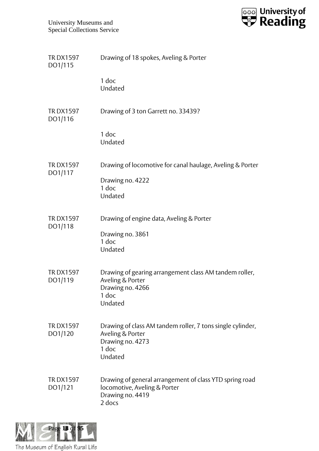

| <b>TRDX1597</b><br>DO1/115 | Drawing of 18 spokes, Aveling & Porter                                                                                 |
|----------------------------|------------------------------------------------------------------------------------------------------------------------|
|                            | 1 doc<br>Undated                                                                                                       |
| <b>TRDX1597</b><br>DO1/116 | Drawing of 3 ton Garrett no. 33439?                                                                                    |
|                            | 1 doc<br>Undated                                                                                                       |
| <b>TRDX1597</b><br>DO1/117 | Drawing of locomotive for canal haulage, Aveling & Porter                                                              |
|                            | Drawing no. 4222<br>1 doc                                                                                              |
|                            | Undated                                                                                                                |
| <b>TRDX1597</b><br>DO1/118 | Drawing of engine data, Aveling & Porter                                                                               |
|                            | Drawing no. 3861<br>1 doc                                                                                              |
|                            | Undated                                                                                                                |
| <b>TRDX1597</b><br>DO1/119 | Drawing of gearing arrangement class AM tandem roller,<br>Aveling & Porter<br>Drawing no. 4266<br>1 doc<br>Undated     |
| <b>TRDX1597</b><br>DO1/120 | Drawing of class AM tandem roller, 7 tons single cylinder,<br>Aveling & Porter<br>Drawing no. 4273<br>1 doc<br>Undated |
| <b>TRDX1597</b><br>DO1/121 | Drawing of general arrangement of class YTD spring road<br>locomotive, Aveling & Porter<br>Drawing no. 4419<br>2 docs  |

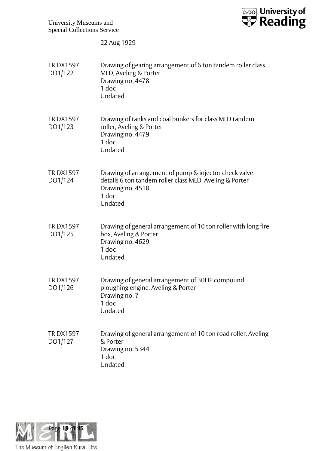

22 Aug 1929

| <b>TRDX1597</b><br>DO1/122 | Drawing of gearing arrangement of 6 ton tandem roller class<br>MLD, Aveling & Porter<br>Drawing no. 4478<br>1 doc<br>Undated                             |
|----------------------------|----------------------------------------------------------------------------------------------------------------------------------------------------------|
| <b>TRDX1597</b><br>DO1/123 | Drawing of tanks and coal bunkers for class MLD tandem<br>roller, Aveling & Porter<br>Drawing no. 4479<br>1 doc<br>Undated                               |
| <b>TRDX1597</b><br>DO1/124 | Drawing of arrangement of pump & injector check valve<br>details 6 ton tandem roller class MLD, Aveling & Porter<br>Drawing no. 4518<br>1 doc<br>Undated |
| <b>TRDX1597</b><br>DO1/125 | Drawing of general arrangement of 10 ton roller with long fire<br>box, Aveling & Porter<br>Drawing no. 4629<br>1 doc<br>Undated                          |
| <b>TRDX1597</b><br>DO1/126 | Drawing of general arrangement of 30HP compound<br>ploughing engine, Aveling & Porter<br>Drawing no.?<br>1 doc<br>Undated                                |
| <b>TRDX1597</b><br>DO1/127 | Drawing of general arrangement of 10 ton road roller, Aveling<br>& Porter<br>Drawing no. 5344<br>1 doc<br>Undated                                        |

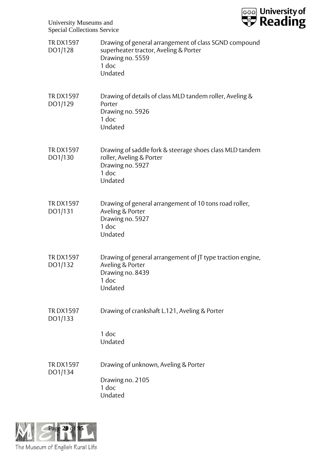

| <b>TRDX1597</b><br>DO1/128 | Drawing of general arrangement of class SGND compound<br>superheater tractor, Aveling & Porter<br>Drawing no. 5559<br>1 doc<br>Undated |
|----------------------------|----------------------------------------------------------------------------------------------------------------------------------------|
| <b>TRDX1597</b><br>DO1/129 | Drawing of details of class MLD tandem roller, Aveling &<br>Porter<br>Drawing no. 5926<br>1 doc<br>Undated                             |
| <b>TRDX1597</b><br>DO1/130 | Drawing of saddle fork & steerage shoes class MLD tandem<br>roller, Aveling & Porter<br>Drawing no. 5927<br>1 doc<br>Undated           |
| <b>TRDX1597</b><br>DO1/131 | Drawing of general arrangement of 10 tons road roller,<br>Aveling & Porter<br>Drawing no. 5927<br>1 doc<br>Undated                     |
| <b>TRDX1597</b><br>DO1/132 | Drawing of general arrangement of JT type traction engine,<br>Aveling & Porter<br>Drawing no. 8439<br>1 doc<br>Undated                 |
| <b>TRDX1597</b><br>DO1/133 | Drawing of crankshaft L.121, Aveling & Porter                                                                                          |
|                            | 1 doc<br>Undated                                                                                                                       |
| <b>TRDX1597</b><br>DO1/134 | Drawing of unknown, Aveling & Porter<br>Drawing no. 2105<br>1 doc<br>Undated                                                           |

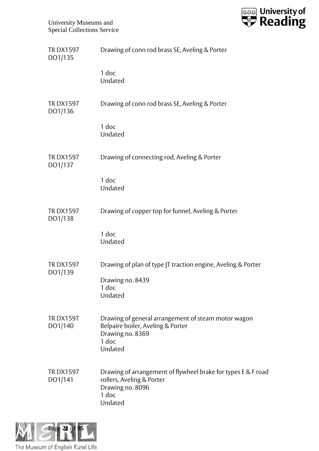

| <b>TRDX1597</b><br>DO1/135 | Drawing of conn rod brass SE, Aveling & Porter                                                                                     |
|----------------------------|------------------------------------------------------------------------------------------------------------------------------------|
|                            | 1 doc<br>Undated                                                                                                                   |
| <b>TRDX1597</b><br>DO1/136 | Drawing of conn rod brass SE, Aveling & Porter                                                                                     |
|                            | 1 doc<br>Undated                                                                                                                   |
| <b>TRDX1597</b><br>DO1/137 | Drawing of connecting rod, Aveling & Porter                                                                                        |
|                            | 1 doc<br>Undated                                                                                                                   |
| <b>TRDX1597</b><br>DO1/138 | Drawing of copper top for funnel, Aveling & Porter                                                                                 |
|                            | 1 doc<br>Undated                                                                                                                   |
| <b>TRDX1597</b><br>DO1/139 | Drawing of plan of type JT traction engine, Aveling & Porter                                                                       |
|                            | Drawing no. 8439<br>1 doc<br>Undated                                                                                               |
| <b>TRDX1597</b><br>DO1/140 | Drawing of general arrangement of steam motor wagon<br>Belpaire boiler, Aveling & Porter<br>Drawing no. 8369<br>1 doc<br>Undated   |
| <b>TRDX1597</b><br>DO1/141 | Drawing of arrangement of flywheel brake for types E & F road<br>rollers, Aveling & Porter<br>Drawing no. 8096<br>1 doc<br>Undated |

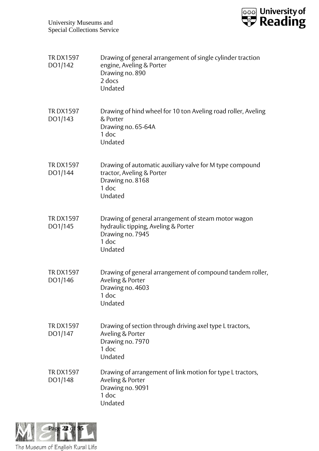

| <b>TRDX1597</b><br>DO1/142 | Drawing of general arrangement of single cylinder traction<br>engine, Aveling & Porter<br>Drawing no. 890<br>2 docs<br>Undated     |
|----------------------------|------------------------------------------------------------------------------------------------------------------------------------|
| <b>TRDX1597</b><br>DO1/143 | Drawing of hind wheel for 10 ton Aveling road roller, Aveling<br>& Porter<br>Drawing no. 65-64A<br>1 doc<br>Undated                |
| <b>TRDX1597</b><br>DO1/144 | Drawing of automatic auxiliary valve for M type compound<br>tractor, Aveling & Porter<br>Drawing no. 8168<br>1 doc<br>Undated      |
| <b>TRDX1597</b><br>DO1/145 | Drawing of general arrangement of steam motor wagon<br>hydraulic tipping, Aveling & Porter<br>Drawing no. 7945<br>1 doc<br>Undated |
| <b>TRDX1597</b><br>DO1/146 | Drawing of general arrangement of compound tandem roller,<br>Aveling & Porter<br>Drawing no. 4603<br>1 doc<br>Undated              |
| <b>TRDX1597</b><br>DO1/147 | Drawing of section through driving axel type L tractors,<br>Aveling & Porter<br>Drawing no. 7970<br>1 doc<br>Undated               |
| <b>TRDX1597</b><br>DO1/148 | Drawing of arrangement of link motion for type L tractors,<br>Aveling & Porter<br>Drawing no. 9091<br>$1$ doc<br>Undated           |

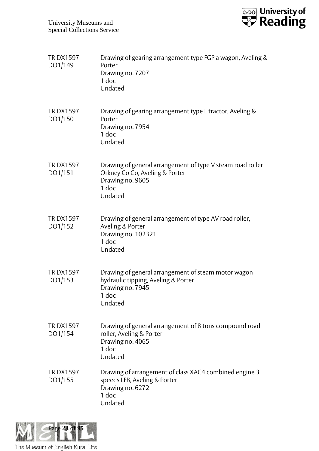

| <b>TRDX1597</b><br>DO1/149 | Drawing of gearing arrangement type FGP a wagon, Aveling &<br>Porter<br>Drawing no. 7207<br>1 doc<br>Undated                         |
|----------------------------|--------------------------------------------------------------------------------------------------------------------------------------|
| <b>TRDX1597</b><br>DO1/150 | Drawing of gearing arrangement type L tractor, Aveling &<br>Porter<br>Drawing no. 7954<br>1 doc<br>Undated                           |
| <b>TRDX1597</b><br>DO1/151 | Drawing of general arrangement of type V steam road roller<br>Orkney Co Co, Aveling & Porter<br>Drawing no. 9605<br>1 doc<br>Undated |
| <b>TRDX1597</b><br>DO1/152 | Drawing of general arrangement of type AV road roller,<br>Aveling & Porter<br>Drawing no. 102321<br>1 doc<br>Undated                 |
| <b>TRDX1597</b><br>DO1/153 | Drawing of general arrangement of steam motor wagon<br>hydraulic tipping, Aveling & Porter<br>Drawing no. 7945<br>1 doc<br>Undated   |
| <b>TRDX1597</b><br>DO1/154 | Drawing of general arrangement of 8 tons compound road<br>roller, Aveling & Porter<br>Drawing no. 4065<br>1 doc<br>Undated           |
| <b>TRDX1597</b><br>DO1/155 | Drawing of arrangement of class XAC4 combined engine 3<br>speeds LFB, Aveling & Porter<br>Drawing no. 6272<br>1 doc<br>Undated       |

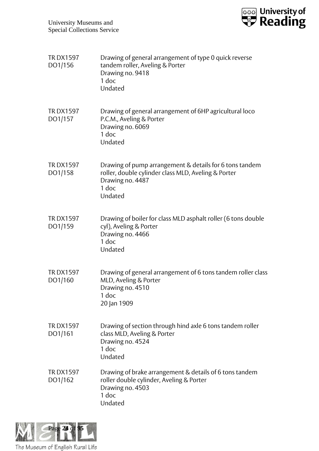

| <b>TRDX1597</b><br>DO1/156 | Drawing of general arrangement of type 0 quick reverse<br>tandem roller, Aveling & Porter<br>Drawing no. 9418<br>$1$ doc<br>Undated                      |
|----------------------------|----------------------------------------------------------------------------------------------------------------------------------------------------------|
| <b>TRDX1597</b><br>DO1/157 | Drawing of general arrangement of 6HP agricultural loco<br>P.C.M., Aveling & Porter<br>Drawing no. 6069<br>1 doc<br>Undated                              |
| <b>TRDX1597</b><br>DO1/158 | Drawing of pump arrangement & details for 6 tons tandem<br>roller, double cylinder class MLD, Aveling & Porter<br>Drawing no. 4487<br>$1$ doc<br>Undated |
| <b>TRDX1597</b><br>DO1/159 | Drawing of boiler for class MLD asphalt roller (6 tons double<br>cyl), Aveling & Porter<br>Drawing no. 4466<br>$1$ doc<br>Undated                        |
| <b>TRDX1597</b><br>DO1/160 | Drawing of general arrangement of 6 tons tandem roller class<br>MLD, Aveling & Porter<br>Drawing no. 4510<br>1 doc<br>20 Jan 1909                        |
| <b>TRDX1597</b><br>DO1/161 | Drawing of section through hind axle 6 tons tandem roller<br>class MLD, Aveling & Porter<br>Drawing no. 4524<br>1 doc<br>Undated                         |
| <b>TRDX1597</b><br>DO1/162 | Drawing of brake arrangement & details of 6 tons tandem<br>roller double cylinder, Aveling & Porter<br>Drawing no. 4503<br>1 doc<br>Undated              |

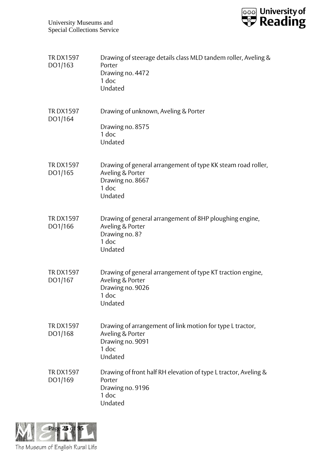

| <b>TRDX1597</b><br>DO1/163 | Drawing of steerage details class MLD tandem roller, Aveling &<br>Porter<br>Drawing no. 4472<br>1 doc<br>Undated         |
|----------------------------|--------------------------------------------------------------------------------------------------------------------------|
| <b>TRDX1597</b><br>DO1/164 | Drawing of unknown, Aveling & Porter<br>Drawing no. 8575<br>$1$ doc<br>Undated                                           |
| <b>TRDX1597</b><br>DO1/165 | Drawing of general arrangement of type KK steam road roller,<br>Aveling & Porter<br>Drawing no. 8667<br>1 doc<br>Undated |
| <b>TRDX1597</b><br>DO1/166 | Drawing of general arrangement of 8HP ploughing engine,<br>Aveling & Porter<br>Drawing no. 8?<br>1 doc<br>Undated        |
| <b>TRDX1597</b><br>DO1/167 | Drawing of general arrangement of type KT traction engine,<br>Aveling & Porter<br>Drawing no. 9026<br>1 doc<br>Undated   |
| <b>TRDX1597</b><br>DO1/168 | Drawing of arrangement of link motion for type L tractor,<br>Aveling & Porter<br>Drawing no. 9091<br>1 doc<br>Undated    |
| <b>TRDX1597</b><br>DO1/169 | Drawing of front half RH elevation of type L tractor, Aveling &<br>Porter<br>Drawing no. 9196<br>1 doc<br>Undated        |

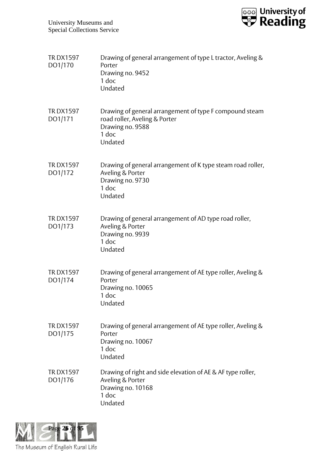

| <b>TRDX1597</b><br>DO1/170 | Drawing of general arrangement of type L tractor, Aveling &<br>Porter<br>Drawing no. 9452<br>1 doc<br>Undated                    |
|----------------------------|----------------------------------------------------------------------------------------------------------------------------------|
| <b>TRDX1597</b><br>DO1/171 | Drawing of general arrangement of type F compound steam<br>road roller, Aveling & Porter<br>Drawing no. 9588<br>1 doc<br>Undated |
| <b>TRDX1597</b><br>DO1/172 | Drawing of general arrangement of K type steam road roller,<br>Aveling & Porter<br>Drawing no. 9730<br>1 doc<br>Undated          |
| <b>TRDX1597</b><br>DO1/173 | Drawing of general arrangement of AD type road roller,<br>Aveling & Porter<br>Drawing no. 9939<br>1 doc<br>Undated               |
| <b>TRDX1597</b><br>DO1/174 | Drawing of general arrangement of AE type roller, Aveling &<br>Porter<br>Drawing no. 10065<br>1 doc<br>Undated                   |
| <b>TRDX1597</b><br>DO1/175 | Drawing of general arrangement of AE type roller, Aveling &<br>Porter<br>Drawing no. 10067<br>1 doc<br>Undated                   |
| <b>TRDX1597</b><br>DO1/176 | Drawing of right and side elevation of AE & AF type roller,<br>Aveling & Porter<br>Drawing no. 10168<br>1 doc<br>Undated         |

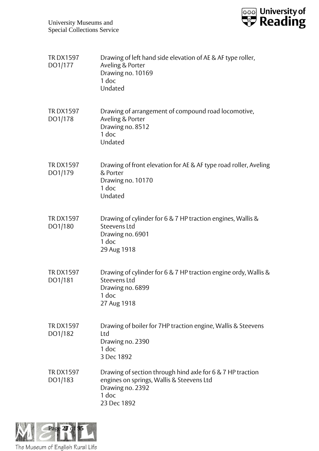

| <b>TRDX1597</b><br>DO1/177 | Drawing of left hand side elevation of AE & AF type roller,<br>Aveling & Porter<br>Drawing no. 10169<br>$1$ doc<br>Undated                          |
|----------------------------|-----------------------------------------------------------------------------------------------------------------------------------------------------|
| <b>TRDX1597</b><br>DO1/178 | Drawing of arrangement of compound road locomotive,<br>Aveling & Porter<br>Drawing no. 8512<br>1 doc<br>Undated                                     |
| <b>TRDX1597</b><br>DO1/179 | Drawing of front elevation for AE & AF type road roller, Aveling<br>& Porter<br>Drawing no. 10170<br>1 doc<br>Undated                               |
| <b>TRDX1597</b><br>DO1/180 | Drawing of cylinder for 6 & 7 HP traction engines, Wallis &<br>Steevens Ltd<br>Drawing no. 6901<br>1 doc<br>29 Aug 1918                             |
| <b>TRDX1597</b><br>DO1/181 | Drawing of cylinder for 6 & 7 HP traction engine ordy, Wallis &<br>Steevens Ltd<br>Drawing no. 6899<br>1 doc<br>27 Aug 1918                         |
| <b>TRDX1597</b><br>DO1/182 | Drawing of boiler for 7HP traction engine, Wallis & Steevens<br>Ltd<br>Drawing no. 2390<br>1 doc<br>3 Dec 1892                                      |
| <b>TRDX1597</b><br>DO1/183 | Drawing of section through hind axle for 6 & 7 HP traction<br>engines on springs, Wallis & Steevens Ltd<br>Drawing no. 2392<br>1 doc<br>23 Dec 1892 |

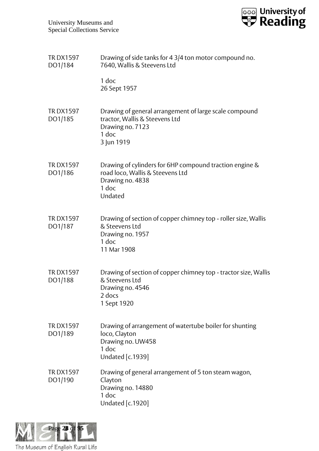

| <b>TRDX1597</b><br>DO1/184 | Drawing of side tanks for 4 3/4 ton motor compound no.<br>7640, Wallis & Steevens Ltd                                               |
|----------------------------|-------------------------------------------------------------------------------------------------------------------------------------|
|                            | 1 doc<br>26 Sept 1957                                                                                                               |
| <b>TRDX1597</b><br>DO1/185 | Drawing of general arrangement of large scale compound<br>tractor, Wallis & Steevens Ltd<br>Drawing no. 7123<br>1 doc<br>3 Jun 1919 |
| <b>TRDX1597</b><br>DO1/186 | Drawing of cylinders for 6HP compound traction engine &<br>road loco, Wallis & Steevens Ltd<br>Drawing no. 4838<br>1 doc<br>Undated |
| <b>TRDX1597</b><br>DO1/187 | Drawing of section of copper chimney top - roller size, Wallis<br>& Steevens Ltd<br>Drawing no. 1957<br>$1$ doc<br>11 Mar 1908      |
| <b>TRDX1597</b><br>DO1/188 | Drawing of section of copper chimney top - tractor size, Wallis<br>& Steevens Ltd<br>Drawing no. 4546<br>2 docs<br>1 Sept 1920      |
| <b>TRDX1597</b><br>DO1/189 | Drawing of arrangement of watertube boiler for shunting<br>loco, Clayton<br>Drawing no. UW458<br>1 doc<br><b>Undated</b> [c.1939]   |
| <b>TRDX1597</b><br>DO1/190 | Drawing of general arrangement of 5 ton steam wagon,<br>Clayton<br>Drawing no. 14880<br>1 doc<br>Undated [c.1920]                   |

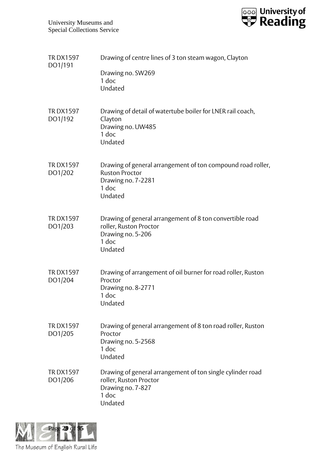

| <b>TRDX1597</b><br>DO1/191 | Drawing of centre lines of 3 ton steam wagon, Clayton<br>Drawing no. SW269<br>1 doc                                            |
|----------------------------|--------------------------------------------------------------------------------------------------------------------------------|
|                            | Undated                                                                                                                        |
| <b>TRDX1597</b><br>DO1/192 | Drawing of detail of watertube boiler for LNER rail coach,<br>Clayton<br>Drawing no. UW485<br>$1$ doc<br>Undated               |
| <b>TRDX1597</b><br>DO1/202 | Drawing of general arrangement of ton compound road roller,<br><b>Ruston Proctor</b><br>Drawing no. 7-2281<br>1 doc<br>Undated |
| <b>TRDX1597</b><br>DO1/203 | Drawing of general arrangement of 8 ton convertible road<br>roller, Ruston Proctor<br>Drawing no. 5-206<br>1 doc<br>Undated    |
| <b>TRDX1597</b><br>DO1/204 | Drawing of arrangement of oil burner for road roller, Ruston<br>Proctor<br>Drawing no. 8-2771<br>1 doc<br>Undated              |
| <b>TRDX1597</b><br>DO1/205 | Drawing of general arrangement of 8 ton road roller, Ruston<br>Proctor<br>Drawing no. 5-2568<br>1 doc<br>Undated               |
| <b>TRDX1597</b><br>DO1/206 | Drawing of general arrangement of ton single cylinder road<br>roller, Ruston Proctor<br>Drawing no. 7-827<br>1 doc<br>Undated  |

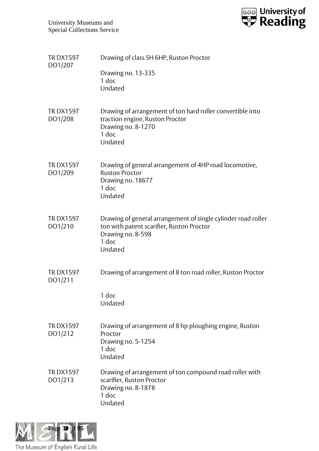

| <b>TRDX1597</b><br>DO1/207 | Drawing of class SH 6HP, Ruston Proctor<br>Drawing no. 13-335<br>1 doc<br>Undated                                                                   |
|----------------------------|-----------------------------------------------------------------------------------------------------------------------------------------------------|
| <b>TRDX1597</b><br>DO1/208 | Drawing of arrangement of ton hard roller convertible into<br>traction engine, Ruston Proctor<br>Drawing no. 8-1270<br>1 doc<br>Undated             |
| <b>TRDX1597</b><br>DO1/209 | Drawing of general arrangement of 4HP road locomotive,<br><b>Ruston Proctor</b><br>Drawing no. 18677<br>1 doc<br>Undated                            |
| <b>TRDX1597</b><br>DO1/210 | Drawing of general arrangement of single cylinder road roller<br>ton with patent scarifier, Ruston Proctor<br>Drawing no. 8-598<br>1 doc<br>Undated |
| <b>TRDX1597</b><br>DO1/211 | Drawing of arrangement of 8 ton road roller, Ruston Proctor<br>1 doc<br>Undated                                                                     |
| <b>TRDX1597</b><br>DO1/212 | Drawing of arrangement of 8 hp ploughing engine, Ruston<br>Proctor<br>Drawing no. 5-1254<br>1 doc<br>Undated                                        |
| <b>TRDX1597</b><br>DO1/213 | Drawing of arrangement of ton compound road roller with<br>scarifier, Ruston Proctor<br>Drawing no. 8-1878<br>1 doc<br>Undated                      |

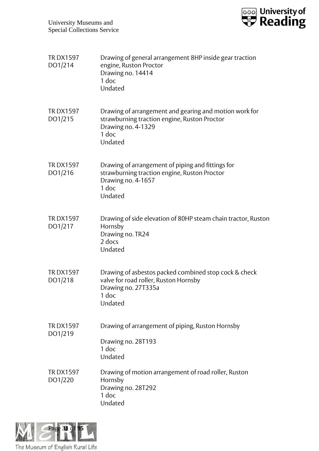

| <b>TRDX1597</b><br>DO1/214 | Drawing of general arrangement 8HP inside gear traction<br>engine, Ruston Proctor<br>Drawing no. 14414<br>1 doc<br>Undated                       |
|----------------------------|--------------------------------------------------------------------------------------------------------------------------------------------------|
| <b>TRDX1597</b><br>DO1/215 | Drawing of arrangement and gearing and motion work for<br>strawburning traction engine, Ruston Proctor<br>Drawing no. 4-1329<br>1 doc<br>Undated |
| <b>TRDX1597</b><br>DO1/216 | Drawing of arrangement of piping and fittings for<br>strawburning traction engine, Ruston Proctor<br>Drawing no. 4-1657<br>1 doc<br>Undated      |
| <b>TRDX1597</b><br>DO1/217 | Drawing of side elevation of 80HP steam chain tractor, Ruston<br>Hornsby<br>Drawing no. TR24<br>2 docs<br>Undated                                |
| <b>TRDX1597</b><br>DO1/218 | Drawing of asbestos packed combined stop cock & check<br>valve for road roller, Ruston Hornsby<br>Drawing no. 27T335a<br>1 doc<br>Undated        |
| <b>TRDX1597</b><br>DO1/219 | Drawing of arrangement of piping, Ruston Hornsby<br>Drawing no. 28T193<br>1 doc<br>Undated                                                       |
| <b>TRDX1597</b><br>DO1/220 | Drawing of motion arrangement of road roller, Ruston<br>Hornsby<br>Drawing no. 28T292<br>1 doc<br>Undated                                        |

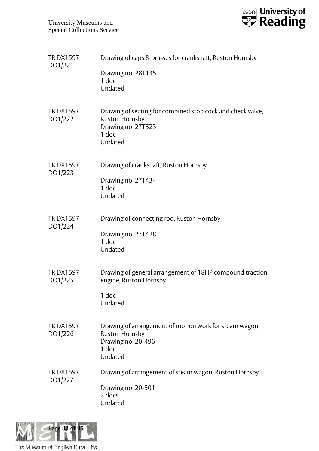

| <b>TRDX1597</b><br>DO1/221 | Drawing of caps & brasses for crankshaft, Ruston Hornsby<br>Drawing no. 28T135<br>1 doc<br>Undated                            |
|----------------------------|-------------------------------------------------------------------------------------------------------------------------------|
| <b>TRDX1597</b><br>DO1/222 | Drawing of seating for combined stop cock and check valve,<br><b>Ruston Hornsby</b><br>Drawing no. 27T523<br>1 doc<br>Undated |
| <b>TRDX1597</b><br>DO1/223 | Drawing of crankshaft, Ruston Hornsby<br>Drawing no. 27T434<br>$1$ doc<br>Undated                                             |
| <b>TRDX1597</b><br>DO1/224 | Drawing of connecting rod, Ruston Hornsby<br>Drawing no. 27T428<br>1 doc<br>Undated                                           |
| <b>TRDX1597</b><br>DO1/225 | Drawing of general arrangement of 18HP compound traction<br>engine, Ruston Hornsby<br>1 doc<br>Undated                        |
| <b>TRDX1597</b><br>DO1/226 | Drawing of arrangement of motion work for steam wagon,<br><b>Ruston Hornsby</b><br>Drawing no. 20-496<br>1 doc<br>Undated     |
| <b>TRDX1597</b><br>DO1/227 | Drawing of arrangement of steam wagon, Ruston Hornsby<br>Drawing no. 20-501<br>2 docs<br>Undated                              |

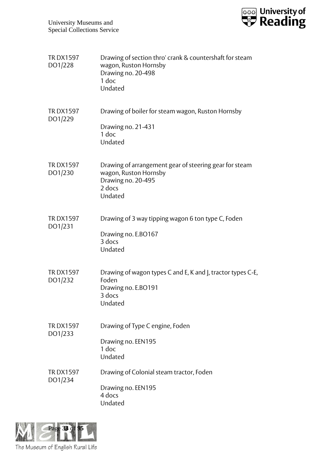

| <b>TRDX1597</b><br>DO1/228 | Drawing of section thro' crank & countershaft for steam<br>wagon, Ruston Hornsby<br>Drawing no. 20-498<br>1 doc<br>Undated |
|----------------------------|----------------------------------------------------------------------------------------------------------------------------|
| <b>TRDX1597</b><br>DO1/229 | Drawing of boiler for steam wagon, Ruston Hornsby<br>Drawing no. 21-431<br>1 doc<br>Undated                                |
| <b>TRDX1597</b><br>DO1/230 | Drawing of arrangement gear of steering gear for steam<br>wagon, Ruston Hornsby<br>Drawing no. 20-495<br>2 docs<br>Undated |
| <b>TRDX1597</b><br>DO1/231 | Drawing of 3 way tipping wagon 6 ton type C, Foden<br>Drawing no. E.BO167<br>3 docs<br>Undated                             |
| <b>TRDX1597</b><br>DO1/232 | Drawing of wagon types C and E, K and J, tractor types C-E,<br>Foden<br>Drawing no. E.BO191<br>3 docs<br>Undated           |
| <b>TRDX1597</b><br>DO1/233 | Drawing of Type C engine, Foden<br>Drawing no. EEN195<br>1 doc<br>Undated                                                  |
| <b>TRDX1597</b><br>DO1/234 | Drawing of Colonial steam tractor, Foden<br>Drawing no. EEN195<br>4 docs<br>Undated                                        |

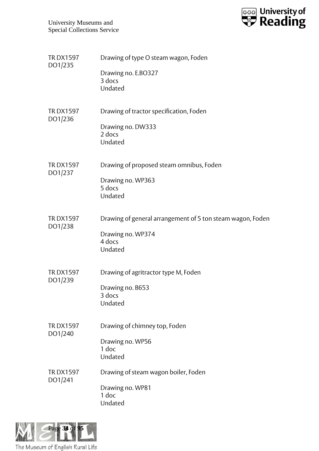

| <b>TRDX1597</b><br>DO1/235 | Drawing of type O steam wagon, Foden<br>Drawing no. E.BO327<br>3 docs<br>Undated                     |
|----------------------------|------------------------------------------------------------------------------------------------------|
| <b>TRDX1597</b><br>DO1/236 | Drawing of tractor specification, Foden<br>Drawing no. DW333<br>2 docs<br>Undated                    |
| <b>TRDX1597</b><br>DO1/237 | Drawing of proposed steam omnibus, Foden<br>Drawing no. WP363<br>5 docs<br>Undated                   |
| <b>TRDX1597</b><br>DO1/238 | Drawing of general arrangement of 5 ton steam wagon, Foden<br>Drawing no. WP374<br>4 docs<br>Undated |
| <b>TRDX1597</b><br>DO1/239 | Drawing of agritractor type M, Foden<br>Drawing no. B653<br>3 docs<br>Undated                        |
| <b>TRDX1597</b><br>DO1/240 | Drawing of chimney top, Foden<br>Drawing no. WP56<br>1 doc<br>Undated                                |
| <b>TRDX1597</b><br>DO1/241 | Drawing of steam wagon boiler, Foden<br>Drawing no. WP81<br>1 doc<br>Undated                         |

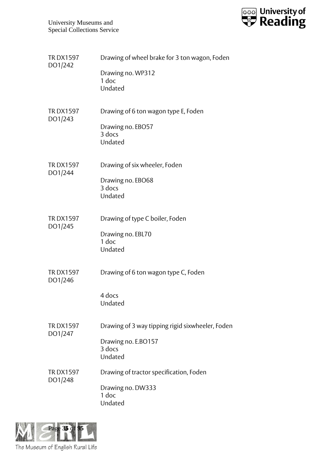

| <b>TRDX1597</b><br>DO1/242 | Drawing of wheel brake for 3 ton wagon, Foden<br>Drawing no. WP312<br>1 doc<br>Undated       |
|----------------------------|----------------------------------------------------------------------------------------------|
| <b>TRDX1597</b><br>DO1/243 | Drawing of 6 ton wagon type E, Foden<br>Drawing no. EBO57<br>3 docs<br>Undated               |
| <b>TRDX1597</b><br>DO1/244 | Drawing of six wheeler, Foden<br>Drawing no. EBO68<br>3 docs<br>Undated                      |
| <b>TRDX1597</b><br>DO1/245 | Drawing of type C boiler, Foden<br>Drawing no. EBL70<br>1 doc<br>Undated                     |
| <b>TRDX1597</b><br>DO1/246 | Drawing of 6 ton wagon type C, Foden<br>4 docs<br>Undated                                    |
| <b>TRDX1597</b><br>DO1/247 | Drawing of 3 way tipping rigid sixwheeler, Foden<br>Drawing no. E.BO157<br>3 docs<br>Undated |
| <b>TRDX1597</b><br>DO1/248 | Drawing of tractor specification, Foden<br>Drawing no. DW333<br>1 doc<br>Undated             |

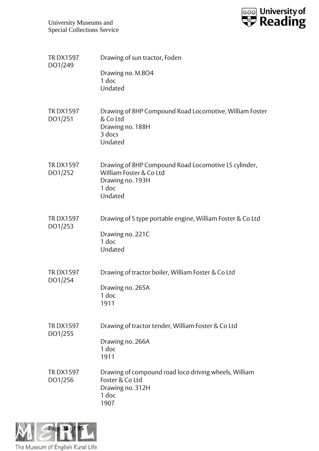

| <b>TRDX1597</b><br>DO1/249 | Drawing of sun tractor, Foden<br>Drawing no. M.BO4<br>1 doc                                                             |
|----------------------------|-------------------------------------------------------------------------------------------------------------------------|
|                            | Undated                                                                                                                 |
| <b>TRDX1597</b><br>DO1/251 | Drawing of 8HP Compound Road Locomotive, William Foster<br>& Co Ltd<br>Drawing no. 188H<br>3 docs<br>Undated            |
| <b>TRDX1597</b><br>DO1/252 | Drawing of 8HP Compound Road Locomotive LS cylinder,<br>William Foster & Co Ltd<br>Drawing no. 193H<br>1 doc<br>Undated |
| <b>TRDX1597</b><br>DO1/253 | Drawing of S type portable engine, William Foster & Co Ltd<br>Drawing no. 221C<br>1 doc<br>Undated                      |
| <b>TRDX1597</b><br>DO1/254 | Drawing of tractor boiler, William Foster & Co Ltd<br>Drawing no. 265A<br>1 doc<br>1911                                 |
| <b>TRDX1597</b><br>DO1/255 | Drawing of tractor tender, William Foster & Co Ltd<br>Drawing no. 266A<br>1 doc<br>1911                                 |
| <b>TRDX1597</b><br>DO1/256 | Drawing of compound road loco driving wheels, William<br>Foster & Co Ltd<br>Drawing no. 312H<br>1 doc<br>1907           |

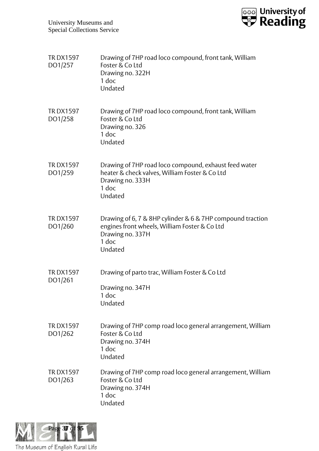

| <b>TRDX1597</b><br>DO1/257 | Drawing of 7HP road loco compound, front tank, William<br>Foster & Co Ltd<br>Drawing no. 322H<br>1 doc<br>Undated                                   |
|----------------------------|-----------------------------------------------------------------------------------------------------------------------------------------------------|
| <b>TRDX1597</b><br>DO1/258 | Drawing of 7HP road loco compound, front tank, William<br>Foster & Co Ltd<br>Drawing no. 326<br>$1$ doc<br>Undated                                  |
| <b>TRDX1597</b><br>DO1/259 | Drawing of 7HP road loco compound, exhaust feed water<br>heater & check valves, William Foster & Co Ltd<br>Drawing no. 333H<br>1 doc<br>Undated     |
| <b>TRDX1597</b><br>DO1/260 | Drawing of 6, 7 & 8HP cylinder & 6 & 7HP compound traction<br>engines front wheels, William Foster & Co Ltd<br>Drawing no. 337H<br>1 doc<br>Undated |
| <b>TRDX1597</b><br>DO1/261 | Drawing of parto trac, William Foster & Co Ltd<br>Drawing no. 347H<br>1 doc<br>Undated                                                              |
| <b>TRDX1597</b><br>DO1/262 | Drawing of 7HP comp road loco general arrangement, William<br>Foster & Co Ltd<br>Drawing no. 374H<br>1 doc<br>Undated                               |
| <b>TRDX1597</b><br>DO1/263 | Drawing of 7HP comp road loco general arrangement, William<br>Foster & Co Ltd<br>Drawing no. 374H<br>$1$ doc<br>Undated                             |

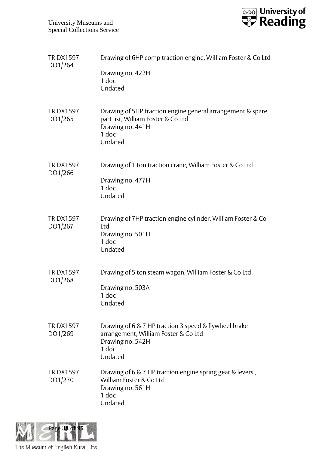

| <b>TRDX1597</b><br>DO1/264 | Drawing of 6HP comp traction engine, William Foster & Co Ltd                                                                             |
|----------------------------|------------------------------------------------------------------------------------------------------------------------------------------|
|                            | Drawing no. 422H<br>1 doc<br>Undated                                                                                                     |
| <b>TRDX1597</b><br>DO1/265 | Drawing of 5HP traction engine general arrangement & spare<br>part list, William Foster & Co Ltd<br>Drawing no. 441H<br>1 doc<br>Undated |
| <b>TRDX1597</b><br>DO1/266 | Drawing of 1 ton traction crane, William Foster & Co Ltd<br>Drawing no. 477H<br>1 doc<br>Undated                                         |
| <b>TRDX1597</b><br>DO1/267 | Drawing of 7HP traction engine cylinder, William Foster & Co<br>Ltd<br>Drawing no. 501H<br>1 doc<br>Undated                              |
| <b>TRDX1597</b><br>DO1/268 | Drawing of 5 ton steam wagon, William Foster & Co Ltd<br>Drawing no. 503A<br>1 doc<br>Undated                                            |
| <b>TRDX1597</b><br>DO1/269 | Drawing of 6 & 7 HP traction 3 speed & flywheel brake<br>arrangement, William Foster & Co Ltd<br>Drawing no. 542H<br>1 doc<br>Undated    |
| <b>TRDX1597</b><br>DO1/270 | Drawing of 6 & 7 HP traction engine spring gear & levers,<br>William Foster & Co Ltd<br>Drawing no. 561H<br>1 doc<br>Undated             |

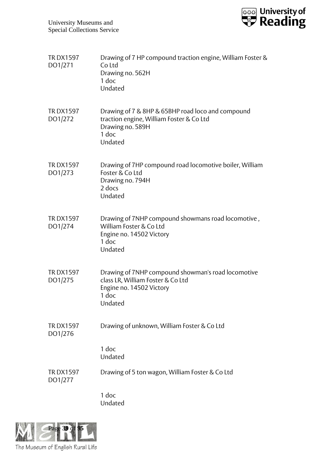

| <b>TRDX1597</b><br>DO1/271 | Drawing of 7 HP compound traction engine, William Foster &<br>Co Ltd<br>Drawing no. 562H<br>1 doc<br>Undated                            |
|----------------------------|-----------------------------------------------------------------------------------------------------------------------------------------|
| <b>TRDX1597</b><br>DO1/272 | Drawing of 7 & 8HP & 65BHP road loco and compound<br>traction engine, William Foster & Co Ltd<br>Drawing no. 589H<br>1 doc<br>Undated   |
| <b>TRDX1597</b><br>DO1/273 | Drawing of 7HP compound road locomotive boiler, William<br>Foster & Co Ltd<br>Drawing no. 794H<br>2 docs<br>Undated                     |
| <b>TRDX1597</b><br>DO1/274 | Drawing of 7NHP compound showmans road locomotive,<br>William Foster & Co Ltd<br>Engine no. 14502 Victory<br>1 doc<br>Undated           |
| <b>TRDX1597</b><br>DO1/275 | Drawing of 7NHP compound showman's road locomotive<br>class LR, William Foster & Co Ltd<br>Engine no. 14502 Victory<br>1 doc<br>Undated |
| <b>TRDX1597</b><br>DO1/276 | Drawing of unknown, William Foster & Co Ltd                                                                                             |
|                            | 1 doc<br>Undated                                                                                                                        |
| <b>TRDX1597</b><br>DO1/277 | Drawing of 5 ton wagon, William Foster & Co Ltd                                                                                         |
|                            | 1 doc<br>Undated                                                                                                                        |

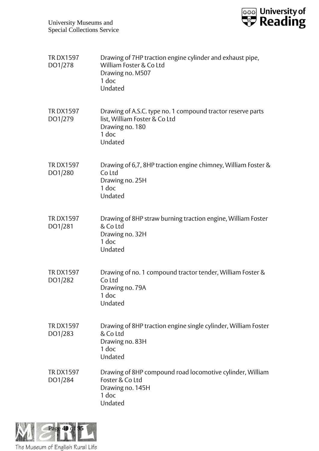

| <b>TRDX1597</b><br>DO1/278 | Drawing of 7HP traction engine cylinder and exhaust pipe,<br>William Foster & Co Ltd<br>Drawing no. M507<br>1 doc<br>Undated        |
|----------------------------|-------------------------------------------------------------------------------------------------------------------------------------|
| <b>TRDX1597</b><br>DO1/279 | Drawing of A.S.C. type no. 1 compound tractor reserve parts<br>list, William Foster & Co Ltd<br>Drawing no. 180<br>1 doc<br>Undated |
| <b>TRDX1597</b><br>DO1/280 | Drawing of 6,7, 8HP traction engine chimney, William Foster &<br>Co Ltd<br>Drawing no. 25H<br>1 doc<br>Undated                      |
| <b>TRDX1597</b><br>DO1/281 | Drawing of 8HP straw burning traction engine, William Foster<br>& Co Ltd<br>Drawing no. 32H<br>1 doc<br>Undated                     |
| <b>TRDX1597</b><br>DO1/282 | Drawing of no. 1 compound tractor tender, William Foster &<br>Co Ltd<br>Drawing no. 79A<br>1 doc<br>Undated                         |
| <b>TRDX1597</b><br>DO1/283 | Drawing of 8HP traction engine single cylinder, William Foster<br>& Co Ltd<br>Drawing no. 83H<br>1 doc<br>Undated                   |
| <b>TRDX1597</b><br>DO1/284 | Drawing of 8HP compound road locomotive cylinder, William<br>Foster & Co Ltd<br>Drawing no. 145H<br>1 doc<br>Undated                |

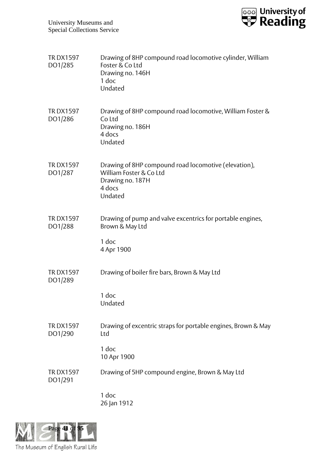

| <b>TRDX1597</b><br>DO1/285 | Drawing of 8HP compound road locomotive cylinder, William<br>Foster & Co Ltd<br>Drawing no. 146H<br>1 doc<br>Undated     |
|----------------------------|--------------------------------------------------------------------------------------------------------------------------|
| <b>TRDX1597</b><br>DO1/286 | Drawing of 8HP compound road locomotive, William Foster &<br>Co Ltd<br>Drawing no. 186H<br>4 docs<br>Undated             |
| <b>TRDX1597</b><br>DO1/287 | Drawing of 8HP compound road locomotive (elevation),<br>William Foster & Co Ltd<br>Drawing no. 187H<br>4 docs<br>Undated |
| <b>TRDX1597</b><br>DO1/288 | Drawing of pump and valve excentrics for portable engines,<br>Brown & May Ltd<br>1 doc<br>4 Apr 1900                     |
| <b>TRDX1597</b><br>DO1/289 | Drawing of boiler fire bars, Brown & May Ltd<br>1 doc<br>Undated                                                         |
| <b>TRDX1597</b><br>DO1/290 | Drawing of excentric straps for portable engines, Brown & May<br>Ltd<br>1 doc<br>10 Apr 1900                             |
| <b>TRDX1597</b><br>DO1/291 | Drawing of 5HP compound engine, Brown & May Ltd<br>1 doc                                                                 |
|                            | 26 Jan 1912                                                                                                              |

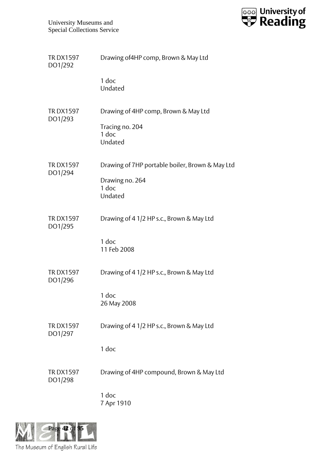

| Drawing of 4HP comp, Brown & May Ltd                                                     |
|------------------------------------------------------------------------------------------|
| 1 doc<br>Undated                                                                         |
| Drawing of 4HP comp, Brown & May Ltd<br>Tracing no. 204<br>1 doc<br>Undated              |
| Drawing of 7HP portable boiler, Brown & May Ltd<br>Drawing no. 264<br>$1$ doc<br>Undated |
| Drawing of 4 1/2 HP s.c., Brown & May Ltd<br>1 doc<br>11 Feb 2008                        |
| Drawing of 4 1/2 HP s.c., Brown & May Ltd<br>1 doc<br>26 May 2008                        |
| Drawing of 4 1/2 HP s.c., Brown & May Ltd<br>1 doc                                       |
| Drawing of 4HP compound, Brown & May Ltd<br>1 doc<br>7 Apr 1910                          |
|                                                                                          |

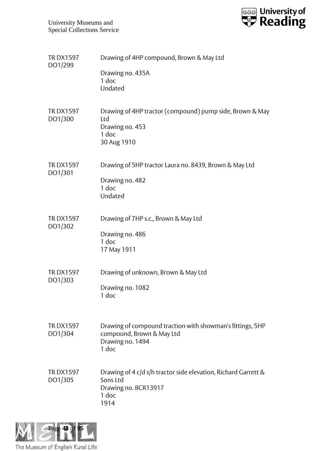

| <b>TRDX1597</b><br>DO1/299 | Drawing of 4HP compound, Brown & May Ltd                                                                            |
|----------------------------|---------------------------------------------------------------------------------------------------------------------|
|                            | Drawing no. 435A<br>1 doc<br>Undated                                                                                |
| <b>TRDX1597</b><br>DO1/300 | Drawing of 4HP tractor (compound) pump side, Brown & May<br>Ltd<br>Drawing no. 453<br>1 doc<br>30 Aug 1910          |
| <b>TRDX1597</b><br>DO1/301 | Drawing of 5HP tractor Laura no. 8439, Brown & May Ltd<br>Drawing no. 482<br>1 doc<br>Undated                       |
| <b>TRDX1597</b><br>DO1/302 | Drawing of 7HP s.c., Brown & May Ltd<br>Drawing no. 486<br>1 doc<br>17 May 1911                                     |
| <b>TRDX1597</b><br>DO1/303 | Drawing of unknown, Brown & May Ltd<br>Drawing no. 1082<br>1 doc                                                    |
| <b>TRDX1597</b><br>DO1/304 | Drawing of compound traction with showman's fittings, 5HP<br>compound, Brown & May Ltd<br>Drawing no. 1494<br>1 doc |
| <b>TRDX1597</b><br>DO1/305 | Drawing of 4 c/d s/h tractor side elevation, Richard Garrett &<br>Sons Ltd<br>Drawing no. BCR13917<br>1 doc<br>1914 |

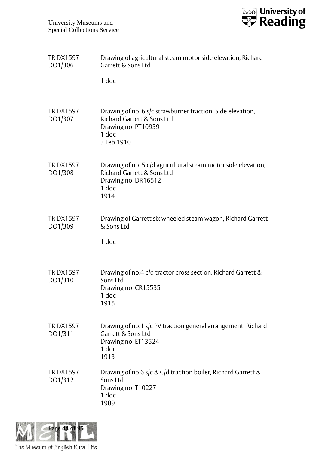

| <b>TRDX1597</b><br>DO1/306 | Drawing of agricultural steam motor side elevation, Richard<br>Garrett & Sons Ltd                                                                   |
|----------------------------|-----------------------------------------------------------------------------------------------------------------------------------------------------|
|                            | 1 doc                                                                                                                                               |
| <b>TRDX1597</b><br>DO1/307 | Drawing of no. 6 s/c strawburner traction: Side elevation,<br><b>Richard Garrett &amp; Sons Ltd</b><br>Drawing no. PT10939<br>$1$ doc<br>3 Feb 1910 |
| <b>TRDX1597</b><br>DO1/308 | Drawing of no. 5 c/d agricultural steam motor side elevation,<br><b>Richard Garrett &amp; Sons Ltd</b><br>Drawing no. DR16512<br>1 doc<br>1914      |
| <b>TRDX1597</b><br>DO1/309 | Drawing of Garrett six wheeled steam wagon, Richard Garrett<br>& Sons Ltd<br>1 doc                                                                  |
| <b>TRDX1597</b><br>DO1/310 | Drawing of no.4 c/d tractor cross section, Richard Garrett &<br>Sons Ltd<br>Drawing no. CR15535<br>1 doc<br>1915                                    |
| <b>TRDX1597</b><br>DO1/311 | Drawing of no.1 s/c PV traction general arrangement, Richard<br>Garrett & Sons Ltd<br>Drawing no. ET13524<br>1 doc<br>1913                          |
| <b>TRDX1597</b><br>DO1/312 | Drawing of no.6 s/c & C/d traction boiler, Richard Garrett &<br>Sons Ltd<br>Drawing no. T10227<br>1 doc<br>1909                                     |

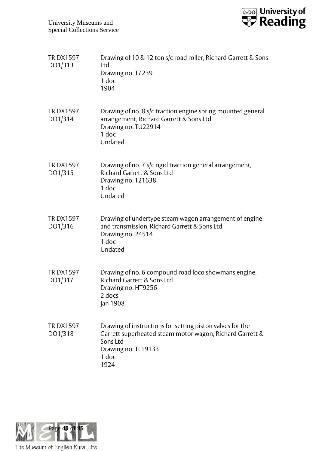

| <b>TRDX1597</b><br>DO1/313 | Drawing of 10 & 12 ton s/c road roller, Richard Garrett & Sons<br>Ltd<br>Drawing no. T7239<br>1 doc<br>1904                                                               |
|----------------------------|---------------------------------------------------------------------------------------------------------------------------------------------------------------------------|
| <b>TRDX1597</b><br>DO1/314 | Drawing of no. 8 s/c traction engine spring mounted general<br>arrangement, Richard Garrett & Sons Ltd<br>Drawing no. TU22914<br>$1$ doc<br>Undated                       |
| <b>TRDX1597</b><br>DO1/315 | Drawing of no. 7 s/c rigid traction general arrangement,<br><b>Richard Garrett &amp; Sons Ltd</b><br>Drawing no. T21638<br>1 doc<br>Undated                               |
| <b>TRDX1597</b><br>DO1/316 | Drawing of undertype steam wagon arrangement of engine<br>and transmission, Richard Garrett & Sons Ltd<br>Drawing no. 24514<br>1 doc<br>Undated                           |
| <b>TRDX1597</b><br>DO1/317 | Drawing of no. 6 compound road loco showmans engine,<br>Richard Garrett & Sons Ltd<br>Drawing no. HT9256<br>2 docs<br>Jan 1908                                            |
| <b>TRDX1597</b><br>DO1/318 | Drawing of instructions for setting piston valves for the<br>Garrett superheated steam motor wagon, Richard Garrett &<br>Sons Ltd<br>Drawing no. TL19133<br>1 doc<br>1924 |

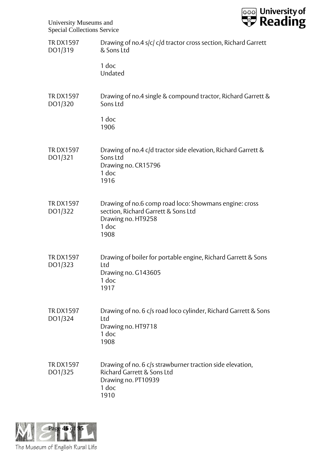

| <b>TRDX1597</b><br>DO1/319 | Drawing of no.4 s/c/ c/d tractor cross section, Richard Garrett<br>& Sons Ltd                                                              |
|----------------------------|--------------------------------------------------------------------------------------------------------------------------------------------|
|                            | 1 doc<br>Undated                                                                                                                           |
| <b>TRDX1597</b><br>DO1/320 | Drawing of no.4 single & compound tractor, Richard Garrett &<br>Sons Ltd                                                                   |
|                            | 1 doc<br>1906                                                                                                                              |
| <b>TRDX1597</b><br>DO1/321 | Drawing of no.4 c/d tractor side elevation, Richard Garrett &<br>Sons Ltd<br>Drawing no. CR15796<br>1 doc<br>1916                          |
| <b>TRDX1597</b><br>DO1/322 | Drawing of no.6 comp road loco: Showmans engine: cross<br>section, Richard Garrett & Sons Ltd<br>Drawing no. HT9258<br>1 doc<br>1908       |
| <b>TRDX1597</b><br>DO1/323 | Drawing of boiler for portable engine, Richard Garrett & Sons<br>Ltd<br>Drawing no. G143605<br>1 doc<br>1917                               |
| <b>TRDX1597</b><br>DO1/324 | Drawing of no. 6 c/s road loco cylinder, Richard Garrett & Sons<br>Ltd<br>Drawing no. HT9718<br>1 doc<br>1908                              |
| <b>TRDX1597</b><br>DO1/325 | Drawing of no. 6 c/s strawburner traction side elevation,<br><b>Richard Garrett &amp; Sons Ltd</b><br>Drawing no. PT10939<br>1 doc<br>1910 |

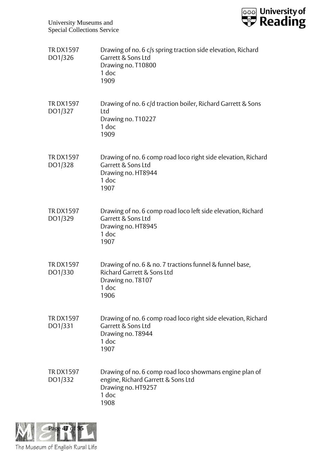

| <b>TRDX1597</b><br>DO1/326 | Drawing of no. 6 c/s spring traction side elevation, Richard<br>Garrett & Sons Ltd<br>Drawing no. T10800<br>1 doc<br>1909            |
|----------------------------|--------------------------------------------------------------------------------------------------------------------------------------|
| <b>TRDX1597</b><br>DO1/327 | Drawing of no. 6 c/d traction boiler, Richard Garrett & Sons<br>Ltd<br>Drawing no. T10227<br>1 doc<br>1909                           |
| <b>TRDX1597</b><br>DO1/328 | Drawing of no. 6 comp road loco right side elevation, Richard<br>Garrett & Sons Ltd<br>Drawing no. HT8944<br>$1$ doc<br>1907         |
| <b>TRDX1597</b><br>DO1/329 | Drawing of no. 6 comp road loco left side elevation, Richard<br>Garrett & Sons Ltd<br>Drawing no. HT8945<br>1 doc<br>1907            |
| <b>TRDX1597</b><br>DO1/330 | Drawing of no. 6 & no. 7 tractions funnel & funnel base,<br>Richard Garrett & Sons Ltd<br>Drawing no. T8107<br>1 doc<br>1906         |
| <b>TRDX1597</b><br>DO1/331 | Drawing of no. 6 comp road loco right side elevation, Richard<br>Garrett & Sons Ltd<br>Drawing no. T8944<br>1 doc<br>1907            |
| <b>TRDX1597</b><br>DO1/332 | Drawing of no. 6 comp road loco showmans engine plan of<br>engine, Richard Garrett & Sons Ltd<br>Drawing no. HT9257<br>1 doc<br>1908 |

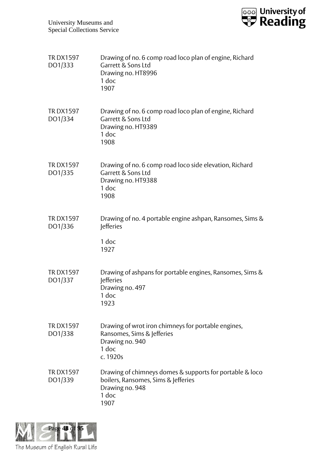

| <b>TRDX1597</b><br>DO1/333 | Drawing of no. 6 comp road loco plan of engine, Richard<br>Garrett & Sons Ltd<br>Drawing no. HT8996<br>1 doc<br>1907                |
|----------------------------|-------------------------------------------------------------------------------------------------------------------------------------|
| <b>TRDX1597</b><br>DO1/334 | Drawing of no. 6 comp road loco plan of engine, Richard<br>Garrett & Sons Ltd<br>Drawing no. HT9389<br>1 doc<br>1908                |
| <b>TRDX1597</b><br>DO1/335 | Drawing of no. 6 comp road loco side elevation, Richard<br>Garrett & Sons Ltd<br>Drawing no. HT9388<br>1 doc<br>1908                |
| <b>TRDX1597</b><br>DO1/336 | Drawing of no. 4 portable engine ashpan, Ransomes, Sims &<br><b>Jefferies</b><br>1 doc<br>1927                                      |
| <b>TRDX1597</b><br>DO1/337 | Drawing of ashpans for portable engines, Ransomes, Sims &<br><b>Jefferies</b><br>Drawing no. 497<br>1 doc<br>1923                   |
| <b>TRDX1597</b><br>DO1/338 | Drawing of wrot iron chimneys for portable engines,<br>Ransomes, Sims & Jefferies<br>Drawing no. 940<br>1 doc<br>c. 1920s           |
| <b>TRDX1597</b><br>DO1/339 | Drawing of chimneys domes & supports for portable & loco<br>boilers, Ransomes, Sims & Jefferies<br>Drawing no. 948<br>1 doc<br>1907 |

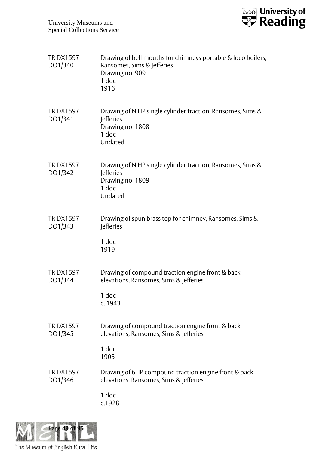

| <b>TRDX1597</b><br>DO1/340 | Drawing of bell mouths for chimneys portable & loco boilers,<br>Ransomes, Sims & Jefferies<br>Drawing no. 909<br>1 doc<br>1916 |
|----------------------------|--------------------------------------------------------------------------------------------------------------------------------|
| <b>TRDX1597</b><br>DO1/341 | Drawing of N HP single cylinder traction, Ransomes, Sims &<br><b>lefferies</b><br>Drawing no. 1808<br>1 doc<br>Undated         |
| <b>TRDX1597</b><br>DO1/342 | Drawing of N HP single cylinder traction, Ransomes, Sims &<br><b>lefferies</b><br>Drawing no. 1809<br>1 doc<br>Undated         |
| <b>TRDX1597</b><br>DO1/343 | Drawing of spun brass top for chimney, Ransomes, Sims &<br><b>Jefferies</b><br>1 doc<br>1919                                   |
| <b>TRDX1597</b><br>DO1/344 | Drawing of compound traction engine front & back<br>elevations, Ransomes, Sims & Jefferies<br>1 doc<br>c. 1943                 |
| <b>TRDX1597</b><br>DO1/345 | Drawing of compound traction engine front & back<br>elevations, Ransomes, Sims & Jefferies<br>1 doc<br>1905                    |
| <b>TRDX1597</b><br>DO1/346 | Drawing of 6HP compound traction engine front & back<br>elevations, Ransomes, Sims & Jefferies<br>1 doc<br>c.1928              |

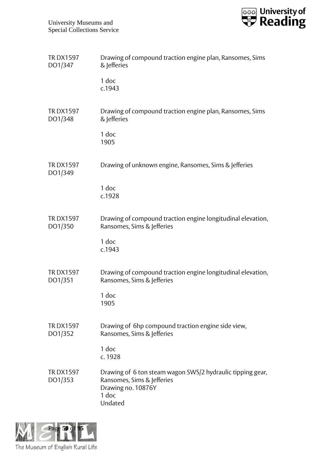

| <b>TRDX1597</b><br>DO1/347 | Drawing of compound traction engine plan, Ransomes, Sims<br>& lefferies                                                            |
|----------------------------|------------------------------------------------------------------------------------------------------------------------------------|
|                            | 1 doc<br>c.1943                                                                                                                    |
| <b>TRDX1597</b><br>DO1/348 | Drawing of compound traction engine plan, Ransomes, Sims<br>& lefferies                                                            |
|                            | 1 doc<br>1905                                                                                                                      |
| <b>TRDX1597</b><br>DO1/349 | Drawing of unknown engine, Ransomes, Sims & Jefferies                                                                              |
|                            | 1 doc<br>c.1928                                                                                                                    |
| <b>TRDX1597</b><br>DO1/350 | Drawing of compound traction engine longitudinal elevation,<br>Ransomes, Sims & Jefferies                                          |
|                            | 1 doc<br>c.1943                                                                                                                    |
| <b>TRDX1597</b><br>DO1/351 | Drawing of compound traction engine longitudinal elevation,<br>Ransomes, Sims & Jefferies                                          |
|                            | 1 doc<br>1905                                                                                                                      |
| <b>TRDX1597</b><br>DO1/352 | Drawing of 6hp compound traction engine side view,<br>Ransomes, Sims & Jefferies                                                   |
|                            | 1 doc<br>c. 1928                                                                                                                   |
| <b>TRDX1597</b><br>DO1/353 | Drawing of 6 ton steam wagon SWS/2 hydraulic tipping gear,<br>Ransomes, Sims & Jefferies<br>Drawing no. 10876Y<br>1 doc<br>Undated |

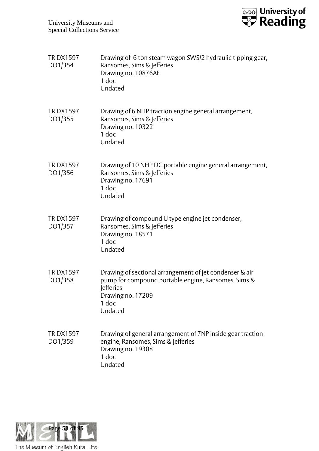

| <b>TRDX1597</b><br>DO1/354 | Drawing of 6 ton steam wagon SWS/2 hydraulic tipping gear,<br>Ransomes, Sims & Jefferies<br>Drawing no. 10876AE<br>1 doc<br>Undated                                  |
|----------------------------|----------------------------------------------------------------------------------------------------------------------------------------------------------------------|
| <b>TRDX1597</b><br>DO1/355 | Drawing of 6 NHP traction engine general arrangement,<br>Ransomes, Sims & Jefferies<br>Drawing no. 10322<br>1 doc<br>Undated                                         |
| <b>TRDX1597</b><br>DO1/356 | Drawing of 10 NHP DC portable engine general arrangement,<br>Ransomes, Sims & Jefferies<br>Drawing no. 17691<br>1 doc<br>Undated                                     |
| <b>TRDX1597</b><br>DO1/357 | Drawing of compound U type engine jet condenser,<br>Ransomes, Sims & Jefferies<br>Drawing no. 18571<br>1 doc<br>Undated                                              |
| <b>TRDX1597</b><br>DO1/358 | Drawing of sectional arrangement of jet condenser & air<br>pump for compound portable engine, Ransomes, Sims &<br>lefferies<br>Drawing no. 17209<br>1 doc<br>Undated |
| <b>TRDX1597</b><br>DO1/359 | Drawing of general arrangement of 7NP inside gear traction<br>engine, Ransomes, Sims & Jefferies<br>Drawing no. 19308<br>1 doc<br>Undated                            |

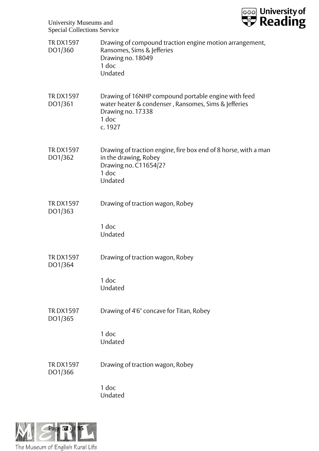

| <b>TRDX1597</b><br>DO1/360 | Drawing of compound traction engine motion arrangement,<br>Ransomes, Sims & Jefferies<br>Drawing no. 18049<br>1 doc<br>Undated                       |
|----------------------------|------------------------------------------------------------------------------------------------------------------------------------------------------|
| <b>TRDX1597</b><br>DO1/361 | Drawing of 16NHP compound portable engine with feed<br>water heater & condenser, Ransomes, Sims & Jefferies<br>Drawing no. 17338<br>1 doc<br>c. 1927 |
| <b>TRDX1597</b><br>DO1/362 | Drawing of traction engine, fire box end of 8 horse, with a man<br>in the drawing, Robey<br>Drawing no. C11654/2?<br>1 doc<br>Undated                |
| <b>TRDX1597</b><br>DO1/363 | Drawing of traction wagon, Robey<br>1 doc<br>Undated                                                                                                 |
| <b>TRDX1597</b><br>DO1/364 | Drawing of traction wagon, Robey<br>1 doc<br>Undated                                                                                                 |
| <b>TRDX1597</b><br>DO1/365 | Drawing of 4'6" concave for Titan, Robey<br>1 doc<br>Undated                                                                                         |
| <b>TRDX1597</b><br>DO1/366 | Drawing of traction wagon, Robey<br>1 doc<br>Undated                                                                                                 |

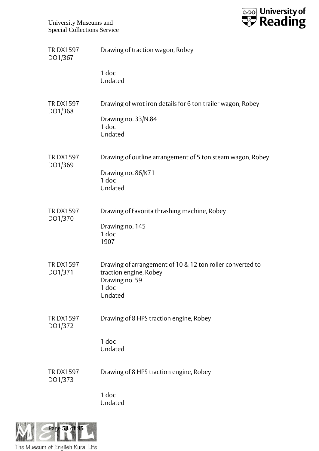

| 1 doc<br>Undated<br>Drawing of wrot iron details for 6 ton trailer wagon, Robey<br><b>TRDX1597</b><br>DO1/368<br>Drawing no. 33/N.84<br>1 doc<br>Undated<br><b>TRDX1597</b><br>DO1/369<br>Drawing no. 86/K71<br>1 doc<br>Undated<br><b>TRDX1597</b><br>Drawing of Favorita thrashing machine, Robey<br>DO1/370<br>Drawing no. 145<br>1 doc<br>1907<br><b>TRDX1597</b><br>Drawing of arrangement of 10 & 12 ton roller converted to<br>traction engine, Robey<br>DO1/371<br>Drawing no. 59<br>1 doc<br>Undated<br>Drawing of 8 HPS traction engine, Robey<br><b>TRDX1597</b><br>DO1/372<br>1 doc<br>Undated<br>Drawing of 8 HPS traction engine, Robey<br><b>TRDX1597</b><br>DO1/373 | <b>TRDX1597</b><br>DO1/367 | Drawing of traction wagon, Robey                           |
|-------------------------------------------------------------------------------------------------------------------------------------------------------------------------------------------------------------------------------------------------------------------------------------------------------------------------------------------------------------------------------------------------------------------------------------------------------------------------------------------------------------------------------------------------------------------------------------------------------------------------------------------------------------------------------------|----------------------------|------------------------------------------------------------|
|                                                                                                                                                                                                                                                                                                                                                                                                                                                                                                                                                                                                                                                                                     |                            |                                                            |
|                                                                                                                                                                                                                                                                                                                                                                                                                                                                                                                                                                                                                                                                                     |                            |                                                            |
|                                                                                                                                                                                                                                                                                                                                                                                                                                                                                                                                                                                                                                                                                     |                            | Drawing of outline arrangement of 5 ton steam wagon, Robey |
|                                                                                                                                                                                                                                                                                                                                                                                                                                                                                                                                                                                                                                                                                     |                            |                                                            |
|                                                                                                                                                                                                                                                                                                                                                                                                                                                                                                                                                                                                                                                                                     |                            |                                                            |
|                                                                                                                                                                                                                                                                                                                                                                                                                                                                                                                                                                                                                                                                                     |                            |                                                            |
|                                                                                                                                                                                                                                                                                                                                                                                                                                                                                                                                                                                                                                                                                     |                            |                                                            |
| 1 doc<br>Undated                                                                                                                                                                                                                                                                                                                                                                                                                                                                                                                                                                                                                                                                    |                            |                                                            |

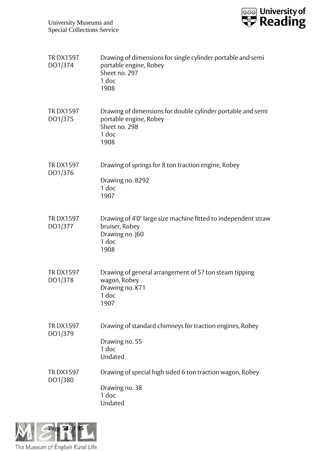

| <b>TRDX1597</b><br>DO1/374 | Drawing of dimensions for single cylinder portable and semi<br>portable engine, Robey<br>Sheet no. 297<br>1 doc<br>1908 |
|----------------------------|-------------------------------------------------------------------------------------------------------------------------|
| <b>TRDX1597</b><br>DO1/375 | Drawing of dimensions for double cylinder portable and semi<br>portable engine, Robey<br>Sheet no. 298<br>1 doc<br>1908 |
| <b>TRDX1597</b><br>DO1/376 | Drawing of springs for 8 ton traction engine, Robey<br>Drawing no. B292<br>1 doc<br>1907                                |
| <b>TRDX1597</b><br>DO1/377 | Drawing of 4'0" large size machine fitted to independent straw<br>bruiser, Robey<br>Drawing no. 160<br>1 doc<br>1908    |
| <b>TRDX1597</b><br>DO1/378 | Drawing of general arrangement of 5? ton steam tipping<br>wagon, Robey<br>Drawing no. K71<br>1 doc<br>1907              |
| <b>TRDX1597</b><br>DO1/379 | Drawing of standard chimneys for traction engines, Robey<br>Drawing no. 55<br>1 doc<br>Undated                          |
| <b>TRDX1597</b><br>DO1/380 | Drawing of special high sided 6 ton traction wagon, Robey<br>Drawing no. 38<br>1 doc<br>Undated                         |

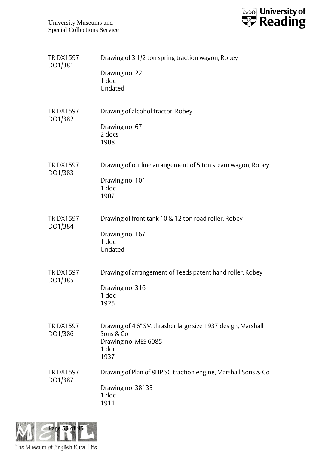

| <b>TRDX1597</b><br>DO1/381 | Drawing of 3 1/2 ton spring traction wagon, Robey                                                                  |
|----------------------------|--------------------------------------------------------------------------------------------------------------------|
|                            | Drawing no. 22<br>1 doc<br>Undated                                                                                 |
| <b>TRDX1597</b><br>DO1/382 | Drawing of alcohol tractor, Robey<br>Drawing no. 67<br>2 docs<br>1908                                              |
| <b>TRDX1597</b><br>DO1/383 | Drawing of outline arrangement of 5 ton steam wagon, Robey<br>Drawing no. 101<br>1 doc<br>1907                     |
| <b>TRDX1597</b><br>DO1/384 | Drawing of front tank 10 & 12 ton road roller, Robey<br>Drawing no. 167<br>1 doc<br>Undated                        |
| <b>TRDX1597</b><br>DO1/385 | Drawing of arrangement of Teeds patent hand roller, Robey<br>Drawing no. 316<br>1 doc<br>1925                      |
| <b>TRDX1597</b><br>DO1/386 | Drawing of 4'6" SM thrasher large size 1937 design, Marshall<br>Sons & Co<br>Drawing no. MES 6085<br>1 doc<br>1937 |
| <b>TRDX1597</b><br>DO1/387 | Drawing of Plan of 8HP SC traction engine, Marshall Sons & Co<br>Drawing no. 38135<br>1 doc<br>1911                |

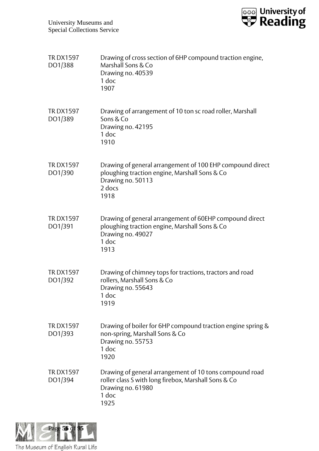

| <b>TRDX1597</b><br>DO1/388 | Drawing of cross section of 6HP compound traction engine,<br>Marshall Sons & Co<br>Drawing no. 40539<br>1 doc<br>1907                                 |
|----------------------------|-------------------------------------------------------------------------------------------------------------------------------------------------------|
| <b>TRDX1597</b><br>DO1/389 | Drawing of arrangement of 10 ton sc road roller, Marshall<br>Sons & Co<br>Drawing no. 42195<br>1 doc<br>1910                                          |
| <b>TRDX1597</b><br>DO1/390 | Drawing of general arrangement of 100 EHP compound direct<br>ploughing traction engine, Marshall Sons & Co<br>Drawing no. 50113<br>2 docs<br>1918     |
| <b>TRDX1597</b><br>DO1/391 | Drawing of general arrangement of 60EHP compound direct<br>ploughing traction engine, Marshall Sons & Co<br>Drawing no. 49027<br>1 doc<br>1913        |
| <b>TRDX1597</b><br>DO1/392 | Drawing of chimney tops for tractions, tractors and road<br>rollers, Marshall Sons & Co<br>Drawing no. 55643<br>1 doc<br>1919                         |
| <b>TRDX1597</b><br>DO1/393 | Drawing of boiler for 6HP compound traction engine spring &<br>non-spring, Marshall Sons & Co<br>Drawing no. 55753<br>1 doc<br>1920                   |
| <b>TRDX1597</b><br>DO1/394 | Drawing of general arrangement of 10 tons compound road<br>roller class S with long firebox, Marshall Sons & Co<br>Drawing no. 61980<br>1 doc<br>1925 |

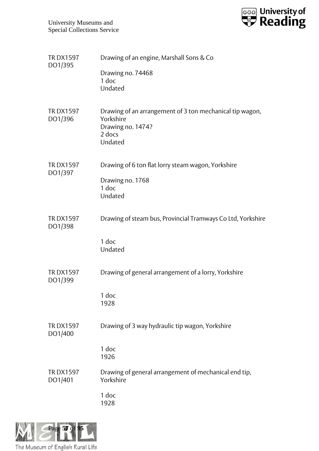

| <b>TRDX1597</b><br>DO1/395 | Drawing of an engine, Marshall Sons & Co                                                                        |
|----------------------------|-----------------------------------------------------------------------------------------------------------------|
|                            | Drawing no. 74468<br>1 doc<br>Undated                                                                           |
| <b>TRDX1597</b><br>DO1/396 | Drawing of an arrangement of 3 ton mechanical tip wagon,<br>Yorkshire<br>Drawing no. 1474?<br>2 docs<br>Undated |
| <b>TRDX1597</b><br>DO1/397 | Drawing of 6 ton flat lorry steam wagon, Yorkshire<br>Drawing no. 1768<br>$1$ doc<br>Undated                    |
| <b>TRDX1597</b><br>DO1/398 | Drawing of steam bus, Provincial Tramways Co Ltd, Yorkshire<br>1 doc<br>Undated                                 |
| <b>TRDX1597</b><br>DO1/399 | Drawing of general arrangement of a lorry, Yorkshire<br>1 doc<br>1928                                           |
| <b>TRDX1597</b><br>DO1/400 | Drawing of 3 way hydraulic tip wagon, Yorkshire<br>1 doc<br>1926                                                |
| <b>TRDX1597</b><br>DO1/401 | Drawing of general arrangement of mechanical end tip,<br>Yorkshire<br>1 doc<br>1928                             |
|                            |                                                                                                                 |

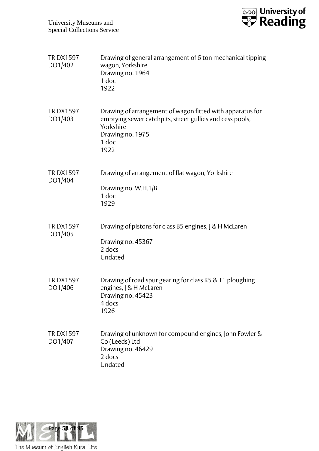

| <b>TRDX1597</b><br>DO1/402 | Drawing of general arrangement of 6 ton mechanical tipping<br>wagon, Yorkshire<br>Drawing no. 1964<br>1 doc<br>1922                                                     |
|----------------------------|-------------------------------------------------------------------------------------------------------------------------------------------------------------------------|
| <b>TRDX1597</b><br>DO1/403 | Drawing of arrangement of wagon fitted with apparatus for<br>emptying sewer catchpits, street gullies and cess pools,<br>Yorkshire<br>Drawing no. 1975<br>1 doc<br>1922 |
| <b>TRDX1597</b><br>DO1/404 | Drawing of arrangement of flat wagon, Yorkshire<br>Drawing no. W.H.1/B<br>1 doc<br>1929                                                                                 |
| <b>TRDX1597</b><br>DO1/405 | Drawing of pistons for class B5 engines,   & H McLaren<br>Drawing no. 45367<br>2 docs<br>Undated                                                                        |
| <b>TRDX1597</b><br>DO1/406 | Drawing of road spur gearing for class K5 & T1 ploughing<br>engines,   & H McLaren<br>Drawing no. 45423<br>4 docs<br>1926                                               |
| <b>TRDX1597</b><br>DO1/407 | Drawing of unknown for compound engines, John Fowler &<br>Co (Leeds) Ltd<br>Drawing no. 46429<br>2 docs<br>Undated                                                      |

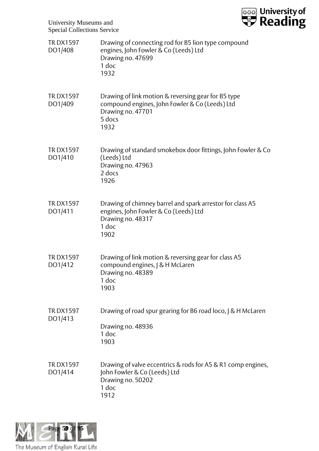

| <b>TRDX1597</b><br>DO1/408 | Drawing of connecting rod for B5 lion type compound<br>engines, John Fowler & Co (Leeds) Ltd<br>Drawing no. 47699<br>1 doc<br>1932           |
|----------------------------|----------------------------------------------------------------------------------------------------------------------------------------------|
| <b>TRDX1597</b><br>DO1/409 | Drawing of link motion & reversing gear for B5 type<br>compound engines, John Fowler & Co (Leeds) Ltd<br>Drawing no. 47701<br>5 docs<br>1932 |
| <b>TRDX1597</b><br>DO1/410 | Drawing of standard smokebox door fittings, John Fowler & Co<br>(Leeds) Ltd<br>Drawing no. 47963<br>2 docs<br>1926                           |
| <b>TRDX1597</b><br>DO1/411 | Drawing of chimney barrel and spark arrestor for class A5<br>engines, John Fowler & Co (Leeds) Ltd<br>Drawing no. 48317<br>1 doc<br>1902     |
| <b>TRDX1597</b><br>DO1/412 | Drawing of link motion & reversing gear for class A5<br>compound engines, J & H McLaren<br>Drawing no. 48389<br>1 doc<br>1903                |
| <b>TRDX1597</b><br>DO1/413 | Drawing of road spur gearing for B6 road loco, J & H McLaren<br>Drawing no. 48936<br>1 doc<br>1903                                           |
| <b>TRDX1597</b><br>DO1/414 | Drawing of valve eccentrics & rods for A5 & R1 comp engines,<br>John Fowler & Co (Leeds) Ltd<br>Drawing no. 50202<br>1 doc<br>1912           |

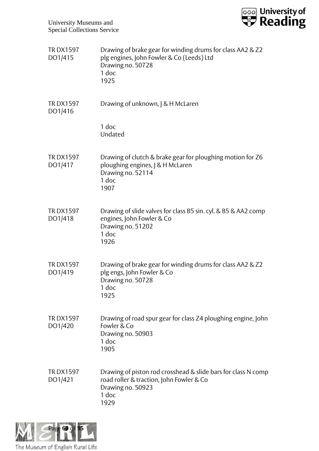

| <b>TRDX1597</b><br>DO1/415 | Drawing of brake gear for winding drums for class AA2 & Z2<br>plg engines, John Fowler & Co (Leeds) Ltd<br>Drawing no. 50728<br>1 doc<br>1925   |
|----------------------------|-------------------------------------------------------------------------------------------------------------------------------------------------|
| <b>TRDX1597</b><br>DO1/416 | Drawing of unknown,   & H McLaren                                                                                                               |
|                            | 1 doc<br>Undated                                                                                                                                |
| <b>TRDX1597</b><br>DO1/417 | Drawing of clutch & brake gear for ploughing motion for Z6<br>ploughing engines, J & H McLaren<br>Drawing no. 52114<br>1 doc<br>1907            |
| <b>TRDX1597</b><br>DO1/418 | Drawing of slide valves for class B5 sin. cyl. & B5 & AA2 comp<br>engines, John Fowler & Co<br>Drawing no. 51202<br>1 doc<br>1926               |
| <b>TRDX1597</b><br>DO1/419 | Drawing of brake gear for winding drums for class AA2 & Z2<br>plg engs, John Fowler & Co<br>Drawing no. 50728<br>1 doc<br>1925                  |
| <b>TRDX1597</b><br>DO1/420 | Drawing of road spur gear for class Z4 ploughing engine, John<br>Fowler & Co<br>Drawing no. 50903<br>1 doc<br>1905                              |
| <b>TRDX1597</b><br>DO1/421 | Drawing of piston rod crosshead & slide bars for class N comp<br>road roller & traction, John Fowler & Co<br>Drawing no. 50923<br>1 doc<br>1929 |

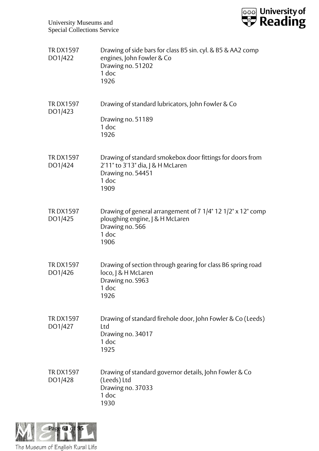

| <b>TRDX1597</b><br>DO1/422 | Drawing of side bars for class B5 sin. cyl. & B5 & AA2 comp<br>engines, John Fowler & Co<br>Drawing no. 51202<br>1 doc<br>1926       |
|----------------------------|--------------------------------------------------------------------------------------------------------------------------------------|
| <b>TRDX1597</b><br>DO1/423 | Drawing of standard lubricators, John Fowler & Co<br>Drawing no. 51189<br>1 doc<br>1926                                              |
| <b>TRDX1597</b><br>DO1/424 | Drawing of standard smokebox door fittings for doors from<br>2'11" to 3'13" dia,   & H McLaren<br>Drawing no. 54451<br>1 doc<br>1909 |
| <b>TRDX1597</b><br>DO1/425 | Drawing of general arrangement of 7 1/4" 12 1/2" x 12" comp<br>ploughing engine, J & H McLaren<br>Drawing no. 566<br>1 doc<br>1906   |
| <b>TRDX1597</b><br>DO1/426 | Drawing of section through gearing for class B6 spring road<br>loco,   & H McLaren<br>Drawing no. S963<br>1 doc<br>1926              |
| <b>TRDX1597</b><br>DO1/427 | Drawing of standard firehole door, John Fowler & Co (Leeds)<br>Ltd<br>Drawing no. 34017<br>1 doc<br>1925                             |
| <b>TRDX1597</b><br>DO1/428 | Drawing of standard governor details, John Fowler & Co<br>(Leeds) Ltd<br>Drawing no. 37033<br>1 doc<br>1930                          |

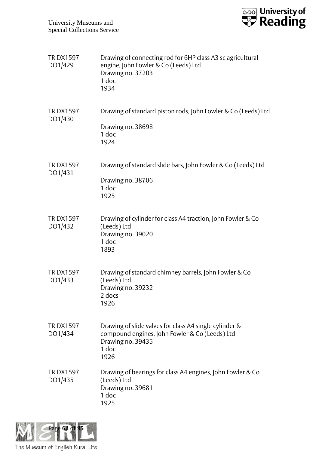

| <b>TRDX1597</b><br>DO1/429 | Drawing of connecting rod for 6HP class A3 sc agricultural<br>engine, John Fowler & Co (Leeds) Ltd<br>Drawing no. 37203<br>1 doc<br>1934       |
|----------------------------|------------------------------------------------------------------------------------------------------------------------------------------------|
| <b>TRDX1597</b><br>DO1/430 | Drawing of standard piston rods, John Fowler & Co (Leeds) Ltd<br>Drawing no. 38698<br>1 doc<br>1924                                            |
| <b>TRDX1597</b><br>DO1/431 | Drawing of standard slide bars, John Fowler & Co (Leeds) Ltd<br>Drawing no. 38706<br>1 doc<br>1925                                             |
| <b>TRDX1597</b><br>DO1/432 | Drawing of cylinder for class A4 traction, John Fowler & Co<br>(Leeds) Ltd<br>Drawing no. 39020<br>1 doc<br>1893                               |
| <b>TRDX1597</b><br>DO1/433 | Drawing of standard chimney barrels, John Fowler & Co<br>(Leeds) Ltd<br>Drawing no. 39232<br>2 docs<br>1926                                    |
| <b>TRDX1597</b><br>DO1/434 | Drawing of slide valves for class A4 single cylinder &<br>compound engines, John Fowler & Co (Leeds) Ltd<br>Drawing no. 39435<br>1 doc<br>1926 |
| <b>TRDX1597</b><br>DO1/435 | Drawing of bearings for class A4 engines, John Fowler & Co<br>(Leeds) Ltd<br>Drawing no. 39681<br>1 doc<br>1925                                |

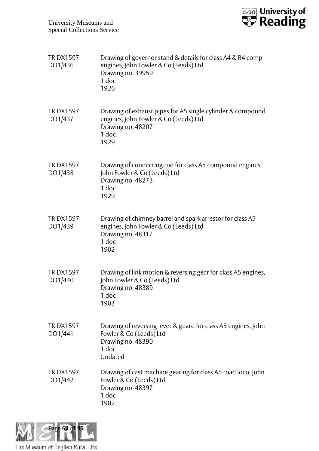

| <b>TRDX1597</b><br>DO1/436 | Drawing of governor stand & details for class A4 & B4 comp<br>engines, John Fowler & Co (Leeds) Ltd<br>Drawing no. 39959<br>1 doc<br>1926 |
|----------------------------|-------------------------------------------------------------------------------------------------------------------------------------------|
| <b>TRDX1597</b><br>DO1/437 | Drawing of exhaust pipes for A5 single cylinder & compound<br>engines, John Fowler & Co (Leeds) Ltd<br>Drawing no. 48207<br>1 doc<br>1929 |
| <b>TRDX1597</b><br>DO1/438 | Drawing of connecting rod for class A5 compound engines,<br>John Fowler & Co (Leeds) Ltd<br>Drawing no. 48273<br>1 doc<br>1929            |
| <b>TRDX1597</b><br>DO1/439 | Drawing of chimney barrel and spark arrestor for class A5<br>engines, John Fowler & Co (Leeds) Ltd<br>Drawing no. 48317<br>1 doc<br>1902  |
| <b>TRDX1597</b><br>DO1/440 | Drawing of link motion & reversing gear for class A5 engines,<br>John Fowler & Co (Leeds) Ltd<br>Drawing no. 48389<br>1 doc<br>1903       |
| <b>TRDX1597</b><br>DO1/441 | Drawing of reversing lever & guard for class A5 engines, John<br>Fowler & Co (Leeds) Ltd<br>Drawing no. 48390<br>1 doc<br>Undated         |
| <b>TRDX1597</b><br>DO1/442 | Drawing of cast machine gearing for class A5 road loco, John<br>Fowler & Co (Leeds) Ltd<br>Drawing no. 48397<br>1 doc<br>1902             |

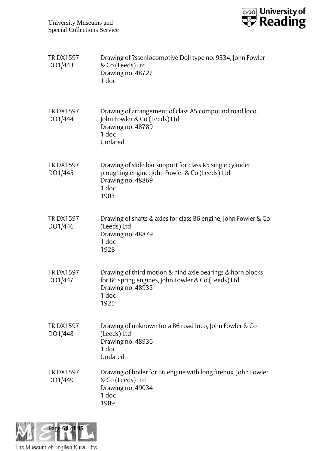

| <b>TRDX1597</b><br>DO1/443 | Drawing of ?ssenlocomotive Doll type no. 9334, John Fowler<br>& Co (Leeds) Ltd<br>Drawing no. 48727<br>1 doc                                            |
|----------------------------|---------------------------------------------------------------------------------------------------------------------------------------------------------|
| <b>TRDX1597</b><br>DO1/444 | Drawing of arrangement of class A5 compound road loco,<br>John Fowler & Co (Leeds) Ltd<br>Drawing no. 48789<br>1 doc<br>Undated                         |
| <b>TRDX1597</b><br>DO1/445 | Drawing of slide bar support for class K5 single cylinder<br>ploughing engine, John Fowler & Co (Leeds) Ltd<br>Drawing no. 48869<br>1 doc<br>1903       |
| <b>TRDX1597</b><br>DO1/446 | Drawing of shafts & axles for class B6 engine, John Fowler & Co<br>(Leeds) Ltd<br>Drawing no. 48879<br>1 doc<br>1928                                    |
| <b>TRDX1597</b><br>DO1/447 | Drawing of third motion & hind axle bearings & horn blocks<br>for B6 spring engines, John Fowler & Co (Leeds) Ltd<br>Drawing no. 48935<br>1 doc<br>1925 |
| <b>TRDX1597</b><br>DO1/448 | Drawing of unknown for a B6 road loco, John Fowler & Co<br>(Leeds) Ltd<br>Drawing no. 48936<br>1 doc<br>Undated                                         |
| <b>TRDX1597</b><br>DO1/449 | Drawing of boiler for B6 engine with long firebox, John Fowler<br>& Co (Leeds) Ltd<br>Drawing no. 49034<br>1 doc<br>1909                                |

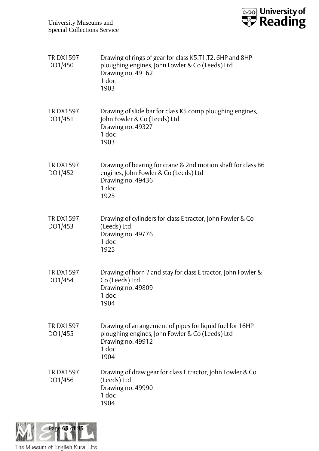

| <b>TRDX1597</b><br>DO1/450 | Drawing of rings of gear for class K5.T1.T2. 6HP and 8HP<br>ploughing engines, John Fowler & Co (Leeds) Ltd<br>Drawing no. 49162<br>1 doc<br>1903 |
|----------------------------|---------------------------------------------------------------------------------------------------------------------------------------------------|
| <b>TRDX1597</b><br>DO1/451 | Drawing of slide bar for class K5 comp ploughing engines,<br>John Fowler & Co (Leeds) Ltd<br>Drawing no. 49327<br>1 doc<br>1903                   |
| <b>TRDX1597</b><br>DO1/452 | Drawing of bearing for crane & 2nd motion shaft for class B6<br>engines, John Fowler & Co (Leeds) Ltd<br>Drawing no. 49436<br>1 doc<br>1925       |
| <b>TRDX1597</b><br>DO1/453 | Drawing of cylinders for class E tractor, John Fowler & Co<br>(Leeds) Ltd<br>Drawing no. 49776<br>1 doc<br>1925                                   |
| <b>TRDX1597</b><br>DO1/454 | Drawing of horn ? and stay for class E tractor, John Fowler &<br>Co (Leeds) Ltd<br>Drawing no. 49809<br>1 doc<br>1904                             |
| <b>TRDX1597</b><br>DO1/455 | Drawing of arrangement of pipes for liquid fuel for 16HP<br>ploughing engines, John Fowler & Co (Leeds) Ltd<br>Drawing no. 49912<br>1 doc<br>1904 |
| <b>TRDX1597</b><br>DO1/456 | Drawing of draw gear for class E tractor, John Fowler & Co<br>(Leeds) Ltd<br>Drawing no. 49990<br>1 doc<br>1904                                   |

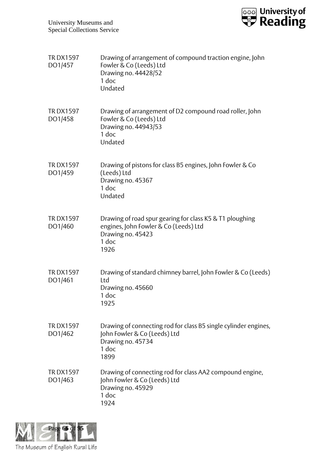

| <b>TRDX1597</b><br>DO1/457 | Drawing of arrangement of compound traction engine, John<br>Fowler & Co (Leeds) Ltd<br>Drawing no. 44428/52<br>1 doc<br>Undated         |
|----------------------------|-----------------------------------------------------------------------------------------------------------------------------------------|
| <b>TRDX1597</b><br>DO1/458 | Drawing of arrangement of D2 compound road roller, John<br>Fowler & Co (Leeds) Ltd<br>Drawing no. 44943/53<br>$1$ doc<br>Undated        |
| <b>TRDX1597</b><br>DO1/459 | Drawing of pistons for class B5 engines, John Fowler & Co<br>(Leeds) Ltd<br>Drawing no. 45367<br>1 doc<br>Undated                       |
| <b>TRDX1597</b><br>DO1/460 | Drawing of road spur gearing for class K5 & T1 ploughing<br>engines, John Fowler & Co (Leeds) Ltd<br>Drawing no. 45423<br>1 doc<br>1926 |
| <b>TRDX1597</b><br>DO1/461 | Drawing of standard chimney barrel, John Fowler & Co (Leeds)<br>Ltd<br>Drawing no. 45660<br>1 doc<br>1925                               |
| <b>TRDX1597</b><br>DO1/462 | Drawing of connecting rod for class B5 single cylinder engines,<br>John Fowler & Co (Leeds) Ltd<br>Drawing no. 45734<br>1 doc<br>1899   |
| <b>TRDX1597</b><br>DO1/463 | Drawing of connecting rod for class AA2 compound engine,<br>John Fowler & Co (Leeds) Ltd<br>Drawing no. 45929<br>1 doc<br>1924          |

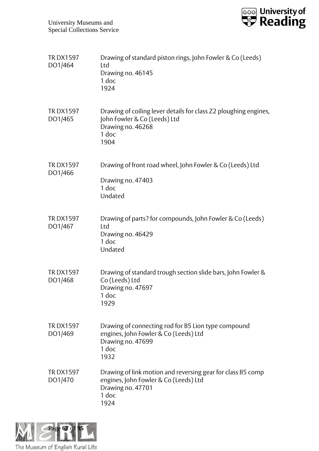

| <b>TRDX1597</b><br>DO1/464 | Drawing of standard piston rings, John Fowler & Co (Leeds)<br>Ltd<br>Drawing no. 46145<br>1 doc<br>1924                                    |
|----------------------------|--------------------------------------------------------------------------------------------------------------------------------------------|
| <b>TRDX1597</b><br>DO1/465 | Drawing of coiling lever details for class Z2 ploughing engines,<br>John Fowler & Co (Leeds) Ltd<br>Drawing no. 46268<br>1 doc<br>1904     |
| <b>TRDX1597</b><br>DO1/466 | Drawing of front road wheel, John Fowler & Co (Leeds) Ltd<br>Drawing no. 47403<br>1 doc<br>Undated                                         |
| <b>TRDX1597</b><br>DO1/467 | Drawing of parts? for compounds, John Fowler & Co (Leeds)<br>Ltd<br>Drawing no. 46429<br>1 doc<br>Undated                                  |
| <b>TRDX1597</b><br>DO1/468 | Drawing of standard trough section slide bars, John Fowler &<br>Co (Leeds) Ltd<br>Drawing no. 47697<br>1 doc<br>1929                       |
| <b>TRDX1597</b><br>DO1/469 | Drawing of connecting rod for B5 Lion type compound<br>engines, John Fowler & Co (Leeds) Ltd<br>Drawing no. 47699<br>1 doc<br>1932         |
| <b>TRDX1597</b><br>DO1/470 | Drawing of link motion and reversing gear for class B5 comp<br>engines, John Fowler & Co (Leeds) Ltd<br>Drawing no. 47701<br>1 doc<br>1924 |

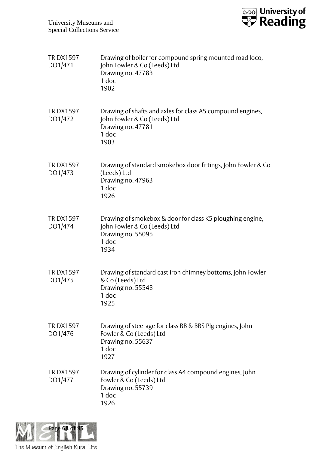

| <b>TRDX1597</b><br>DO1/471 | Drawing of boiler for compound spring mounted road loco,<br>John Fowler & Co (Leeds) Ltd<br>Drawing no. 47783<br>1 doc<br>1902   |
|----------------------------|----------------------------------------------------------------------------------------------------------------------------------|
| <b>TRDX1597</b><br>DO1/472 | Drawing of shafts and axles for class A5 compound engines,<br>John Fowler & Co (Leeds) Ltd<br>Drawing no. 47781<br>1 doc<br>1903 |
| <b>TRDX1597</b><br>DO1/473 | Drawing of standard smokebox door fittings, John Fowler & Co<br>(Leeds) Ltd<br>Drawing no. 47963<br>$1$ doc<br>1926              |
| <b>TRDX1597</b><br>DO1/474 | Drawing of smokebox & door for class K5 ploughing engine,<br>John Fowler & Co (Leeds) Ltd<br>Drawing no. 55095<br>1 doc<br>1934  |
| <b>TRDX1597</b><br>DO1/475 | Drawing of standard cast iron chimney bottoms, John Fowler<br>& Co (Leeds) Ltd<br>Drawing no. 55548<br>1 doc<br>1925             |
| <b>TRDX1597</b><br>DO1/476 | Drawing of steerage for class BB & BBS Plg engines, John<br>Fowler & Co (Leeds) Ltd<br>Drawing no. 55637<br>1 doc<br>1927        |
| <b>TRDX1597</b><br>DO1/477 | Drawing of cylinder for class A4 compound engines, John<br>Fowler & Co (Leeds) Ltd<br>Drawing no. 55739<br>1 doc<br>1926         |

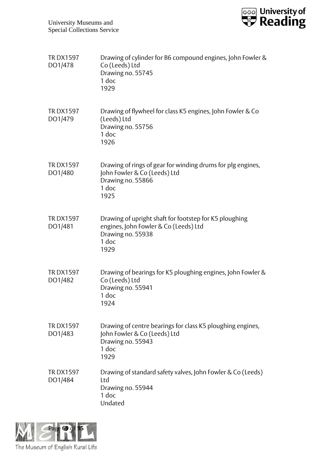

| <b>TRDX1597</b><br>DO1/478 | Drawing of cylinder for B6 compound engines, John Fowler &<br>Co (Leeds) Ltd<br>Drawing no. 55745<br>1 doc<br>1929                    |
|----------------------------|---------------------------------------------------------------------------------------------------------------------------------------|
| <b>TRDX1597</b><br>DO1/479 | Drawing of flywheel for class K5 engines, John Fowler & Co<br>(Leeds) Ltd<br>Drawing no. 55756<br>1 doc<br>1926                       |
| <b>TRDX1597</b><br>DO1/480 | Drawing of rings of gear for winding drums for plg engines,<br>John Fowler & Co (Leeds) Ltd<br>Drawing no. 55866<br>1 doc<br>1925     |
| <b>TRDX1597</b><br>DO1/481 | Drawing of upright shaft for footstep for K5 ploughing<br>engines, John Fowler & Co (Leeds) Ltd<br>Drawing no. 55938<br>1 doc<br>1929 |
| <b>TRDX1597</b><br>DO1/482 | Drawing of bearings for K5 ploughing engines, John Fowler &<br>Co (Leeds) Ltd<br>Drawing no. 55941<br>1 doc<br>1924                   |
| <b>TRDX1597</b><br>DO1/483 | Drawing of centre bearings for class K5 ploughing engines,<br>John Fowler & Co (Leeds) Ltd<br>Drawing no. 55943<br>1 doc<br>1929      |
| <b>TRDX1597</b><br>DO1/484 | Drawing of standard safety valves, John Fowler & Co (Leeds)<br>Ltd<br>Drawing no. 55944<br>1 doc<br>Undated                           |

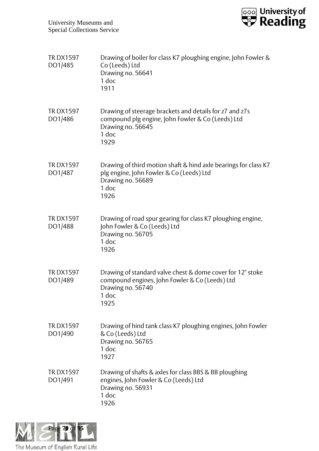

| <b>TRDX1597</b><br>DO1/485 | Drawing of boiler for class K7 ploughing engine, John Fowler &<br>Co (Leeds) Ltd<br>Drawing no. 56641<br>1 doc<br>1911                             |
|----------------------------|----------------------------------------------------------------------------------------------------------------------------------------------------|
| <b>TRDX1597</b><br>DO1/486 | Drawing of steerage brackets and details for z7 and z7s<br>compound plg engine, John Fowler & Co (Leeds) Ltd<br>Drawing no. 56645<br>1 doc<br>1929 |
| <b>TRDX1597</b><br>DO1/487 | Drawing of third motion shaft & hind axle bearings for class K7<br>plg engine, John Fowler & Co (Leeds) Ltd<br>Drawing no. 56689<br>1 doc<br>1926  |
| <b>TRDX1597</b><br>DO1/488 | Drawing of road spur gearing for class K7 ploughing engine,<br>John Fowler & Co (Leeds) Ltd<br>Drawing no. 56705<br>1 doc<br>1926                  |
| <b>TRDX1597</b><br>DO1/489 | Drawing of standard valve chest & dome cover for 12" stoke<br>compound engines, John Fowler & Co (Leeds) Ltd<br>Drawing no. 56740<br>1 doc<br>1925 |
| <b>TRDX1597</b><br>DO1/490 | Drawing of hind tank class K7 ploughing engines, John Fowler<br>& Co (Leeds) Ltd<br>Drawing no. 56765<br>1 doc<br>1927                             |
| <b>TRDX1597</b><br>DO1/491 | Drawing of shafts & axles for class BBS & BB ploughing<br>engines, John Fowler & Co (Leeds) Ltd<br>Drawing no. 56931<br>1 doc<br>1926              |

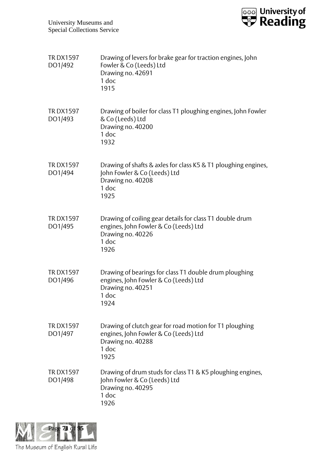

| <b>TRDX1597</b><br>DO1/492 | Drawing of levers for brake gear for traction engines, John<br>Fowler & Co (Leeds) Ltd<br>Drawing no. 42691<br>1 doc<br>1915            |
|----------------------------|-----------------------------------------------------------------------------------------------------------------------------------------|
| <b>TRDX1597</b><br>DO1/493 | Drawing of boiler for class T1 ploughing engines, John Fowler<br>& Co (Leeds) Ltd<br>Drawing no. 40200<br>1 doc<br>1932                 |
| <b>TRDX1597</b><br>DO1/494 | Drawing of shafts & axles for class K5 & T1 ploughing engines,<br>John Fowler & Co (Leeds) Ltd<br>Drawing no. 40208<br>1 doc<br>1925    |
| <b>TRDX1597</b><br>DO1/495 | Drawing of coiling gear details for class T1 double drum<br>engines, John Fowler & Co (Leeds) Ltd<br>Drawing no. 40226<br>1 doc<br>1926 |
| <b>TRDX1597</b><br>DO1/496 | Drawing of bearings for class T1 double drum ploughing<br>engines, John Fowler & Co (Leeds) Ltd<br>Drawing no. 40251<br>1 doc<br>1924   |
| <b>TRDX1597</b><br>DO1/497 | Drawing of clutch gear for road motion for T1 ploughing<br>engines, John Fowler & Co (Leeds) Ltd<br>Drawing no. 40288<br>1 doc<br>1925  |
| <b>TRDX1597</b><br>DO1/498 | Drawing of drum studs for class T1 & K5 ploughing engines,<br>John Fowler & Co (Leeds) Ltd<br>Drawing no. 40295<br>1 doc<br>1926        |

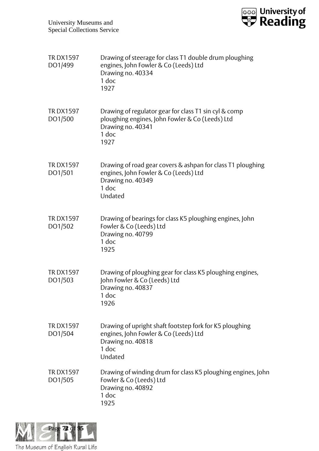

| <b>TRDX1597</b><br>DO1/499 | Drawing of steerage for class T1 double drum ploughing<br>engines, John Fowler & Co (Leeds) Ltd<br>Drawing no. 40334<br>1 doc<br>1927          |
|----------------------------|------------------------------------------------------------------------------------------------------------------------------------------------|
| <b>TRDX1597</b><br>DO1/500 | Drawing of regulator gear for class T1 sin cyl & comp<br>ploughing engines, John Fowler & Co (Leeds) Ltd<br>Drawing no. 40341<br>1 doc<br>1927 |
| <b>TRDX1597</b><br>DO1/501 | Drawing of road gear covers & ashpan for class T1 ploughing<br>engines, John Fowler & Co (Leeds) Ltd<br>Drawing no. 40349<br>1 doc<br>Undated  |
| <b>TRDX1597</b><br>DO1/502 | Drawing of bearings for class K5 ploughing engines, John<br>Fowler & Co (Leeds) Ltd<br>Drawing no. 40799<br>1 doc<br>1925                      |
| <b>TRDX1597</b><br>DO1/503 | Drawing of ploughing gear for class K5 ploughing engines,<br>John Fowler & Co (Leeds) Ltd<br>Drawing no. 40837<br>1 doc<br>1926                |
| <b>TRDX1597</b><br>DO1/504 | Drawing of upright shaft footstep fork for K5 ploughing<br>engines, John Fowler & Co (Leeds) Ltd<br>Drawing no. 40818<br>1 doc<br>Undated      |
| <b>TRDX1597</b><br>DO1/505 | Drawing of winding drum for class K5 ploughing engines, John<br>Fowler & Co (Leeds) Ltd<br>Drawing no. 40892<br>1 doc<br>1925                  |

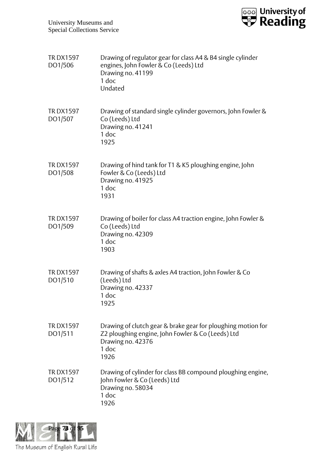

| <b>TRDX1597</b><br>DO1/506 | Drawing of regulator gear for class A4 & B4 single cylinder<br>engines, John Fowler & Co (Leeds) Ltd<br>Drawing no. 41199<br>1 doc<br>Undated           |
|----------------------------|---------------------------------------------------------------------------------------------------------------------------------------------------------|
| <b>TRDX1597</b><br>DO1/507 | Drawing of standard single cylinder governors, John Fowler &<br>Co (Leeds) Ltd<br>Drawing no. 41241<br>$1$ doc<br>1925                                  |
| <b>TRDX1597</b><br>DO1/508 | Drawing of hind tank for T1 & K5 ploughing engine, John<br>Fowler & Co (Leeds) Ltd<br>Drawing no. 41925<br>1 doc<br>1931                                |
| <b>TRDX1597</b><br>DO1/509 | Drawing of boiler for class A4 traction engine, John Fowler &<br>Co (Leeds) Ltd<br>Drawing no. 42309<br>1 doc<br>1903                                   |
| <b>TRDX1597</b><br>DO1/510 | Drawing of shafts & axles A4 traction, John Fowler & Co<br>(Leeds) Ltd<br>Drawing no. 42337<br>1 doc<br>1925                                            |
| <b>TRDX1597</b><br>DO1/511 | Drawing of clutch gear & brake gear for ploughing motion for<br>Z2 ploughing engine, John Fowler & Co (Leeds) Ltd<br>Drawing no. 42376<br>1 doc<br>1926 |
| <b>TRDX1597</b><br>DO1/512 | Drawing of cylinder for class BB compound ploughing engine,<br>John Fowler & Co (Leeds) Ltd<br>Drawing no. 58034<br>1 doc<br>1926                       |

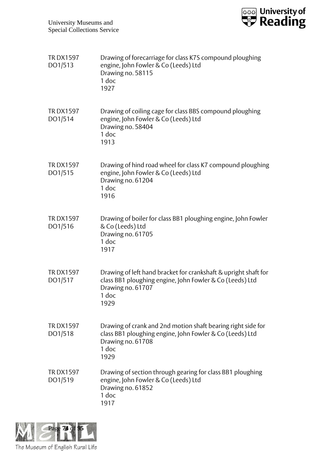

| <b>TRDX1597</b><br>DO1/513 | Drawing of forecarriage for class K7S compound ploughing<br>engine, John Fowler & Co (Leeds) Ltd<br>Drawing no. 58115<br>1 doc<br>1927                            |
|----------------------------|-------------------------------------------------------------------------------------------------------------------------------------------------------------------|
| <b>TRDX1597</b><br>DO1/514 | Drawing of coiling cage for class BBS compound ploughing<br>engine, John Fowler & Co (Leeds) Ltd<br>Drawing no. 58404<br>1 doc<br>1913                            |
| <b>TRDX1597</b><br>DO1/515 | Drawing of hind road wheel for class K7 compound ploughing<br>engine, John Fowler & Co (Leeds) Ltd<br>Drawing no. 61204<br>1 doc<br>1916                          |
| <b>TRDX1597</b><br>DO1/516 | Drawing of boiler for class BB1 ploughing engine, John Fowler<br>& Co (Leeds) Ltd<br>Drawing no. 61705<br>1 doc<br>1917                                           |
| <b>TRDX1597</b><br>DO1/517 | Drawing of left hand bracket for crankshaft & upright shaft for<br>class BB1 ploughing engine, John Fowler & Co (Leeds) Ltd<br>Drawing no. 61707<br>1 doc<br>1929 |
| <b>TRDX1597</b><br>DO1/518 | Drawing of crank and 2nd motion shaft bearing right side for<br>class BB1 ploughing engine, John Fowler & Co (Leeds) Ltd<br>Drawing no. 61708<br>1 doc<br>1929    |
| <b>TRDX1597</b><br>DO1/519 | Drawing of section through gearing for class BB1 ploughing<br>engine, John Fowler & Co (Leeds) Ltd<br>Drawing no. 61852<br>1 doc<br>1917                          |

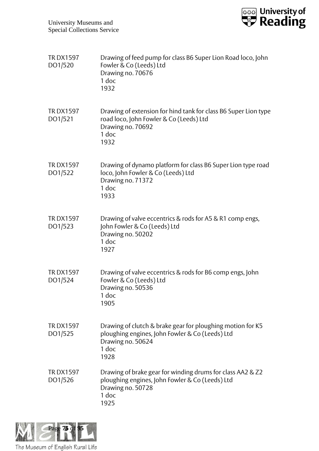

| <b>TRDX1597</b><br>DO1/520 | Drawing of feed pump for class B6 Super Lion Road loco, John<br>Fowler & Co (Leeds) Ltd<br>Drawing no. 70676<br>1 doc<br>1932                       |
|----------------------------|-----------------------------------------------------------------------------------------------------------------------------------------------------|
| <b>TRDX1597</b><br>DO1/521 | Drawing of extension for hind tank for class B6 Super Lion type<br>road loco, John Fowler & Co (Leeds) Ltd<br>Drawing no. 70692<br>1 doc<br>1932    |
| <b>TRDX1597</b><br>DO1/522 | Drawing of dynamo platform for class B6 Super Lion type road<br>loco, John Fowler & Co (Leeds) Ltd<br>Drawing no. 71372<br>$1$ doc<br>1933          |
| <b>TRDX1597</b><br>DO1/523 | Drawing of valve eccentrics & rods for A5 & R1 comp engs,<br>John Fowler & Co (Leeds) Ltd<br>Drawing no. 50202<br>1 doc<br>1927                     |
| <b>TRDX1597</b><br>DO1/524 | Drawing of valve eccentrics & rods for B6 comp engs, John<br>Fowler & Co (Leeds) Ltd<br>Drawing no. 50536<br>1 doc<br>1905                          |
| <b>TRDX1597</b><br>DO1/525 | Drawing of clutch & brake gear for ploughing motion for K5<br>ploughing engines, John Fowler & Co (Leeds) Ltd<br>Drawing no. 50624<br>1 doc<br>1928 |
| <b>TRDX1597</b><br>DO1/526 | Drawing of brake gear for winding drums for class AA2 & Z2<br>ploughing engines, John Fowler & Co (Leeds) Ltd<br>Drawing no. 50728<br>1 doc<br>1925 |

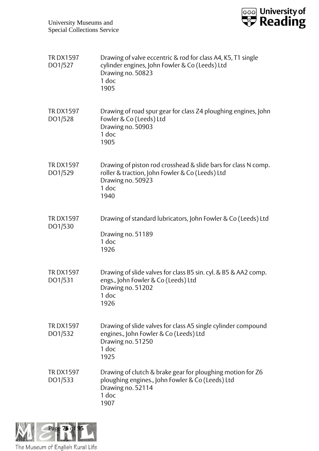

| <b>TRDX1597</b><br>DO1/527 | Drawing of valve eccentric & rod for class A4, K5, T1 single<br>cylinder engines, John Fowler & Co (Leeds) Ltd<br>Drawing no. 50823<br>1 doc<br>1905    |
|----------------------------|---------------------------------------------------------------------------------------------------------------------------------------------------------|
| <b>TRDX1597</b><br>DO1/528 | Drawing of road spur gear for class Z4 ploughing engines, John<br>Fowler & Co (Leeds) Ltd<br>Drawing no. 50903<br>1 doc<br>1905                         |
| <b>TRDX1597</b><br>DO1/529 | Drawing of piston rod crosshead & slide bars for class N comp.<br>roller & traction, John Fowler & Co (Leeds) Ltd<br>Drawing no. 50923<br>1 doc<br>1940 |
| <b>TRDX1597</b><br>DO1/530 | Drawing of standard lubricators, John Fowler & Co (Leeds) Ltd<br>Drawing no. 51189<br>1 doc<br>1926                                                     |
| <b>TRDX1597</b><br>DO1/531 | Drawing of slide valves for class B5 sin. cyl. & B5 & AA2 comp.<br>engs., John Fowler & Co (Leeds) Ltd<br>Drawing no. 51202<br>1 doc<br>1926            |
| <b>TRDX1597</b><br>DO1/532 | Drawing of slide valves for class A5 single cylinder compound<br>engines., John Fowler & Co (Leeds) Ltd<br>Drawing no. 51250<br>1 doc<br>1925           |
| <b>TRDX1597</b><br>DO1/533 | Drawing of clutch & brake gear for ploughing motion for Z6<br>ploughing engines., John Fowler & Co (Leeds) Ltd<br>Drawing no. 52114<br>1 doc<br>1907    |

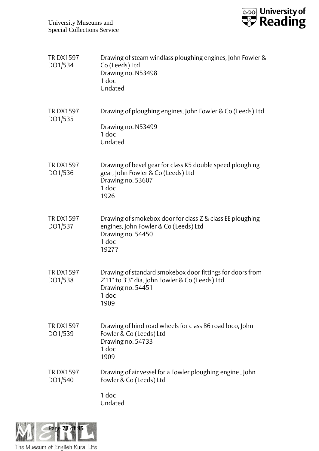

| <b>TRDX1597</b><br>DO1/534 | Drawing of steam windlass ploughing engines, John Fowler &<br>Co (Leeds) Ltd<br>Drawing no. N53498<br>$1$ doc<br>Undated                           |
|----------------------------|----------------------------------------------------------------------------------------------------------------------------------------------------|
| <b>TRDX1597</b><br>DO1/535 | Drawing of ploughing engines, John Fowler & Co (Leeds) Ltd<br>Drawing no. N53499<br>1 doc<br>Undated                                               |
| <b>TRDX1597</b><br>DO1/536 | Drawing of bevel gear for class K5 double speed ploughing<br>gear, John Fowler & Co (Leeds) Ltd<br>Drawing no. 53607<br>1 doc<br>1926              |
| <b>TRDX1597</b><br>DO1/537 | Drawing of smokebox door for class Z & class EE ploughing<br>engines, John Fowler & Co (Leeds) Ltd<br>Drawing no. 54450<br>1 doc<br>1927?          |
| <b>TRDX1597</b><br>DO1/538 | Drawing of standard smokebox door fittings for doors from<br>2'11" to 3'3" dia, John Fowler & Co (Leeds) Ltd<br>Drawing no. 54451<br>1 doc<br>1909 |
| <b>TRDX1597</b><br>DO1/539 | Drawing of hind road wheels for class B6 road loco, John<br>Fowler & Co (Leeds) Ltd<br>Drawing no. 54733<br>1 doc<br>1909                          |
| <b>TRDX1597</b><br>DO1/540 | Drawing of air vessel for a Fowler ploughing engine, John<br>Fowler & Co (Leeds) Ltd<br>1 doc<br>Undated                                           |

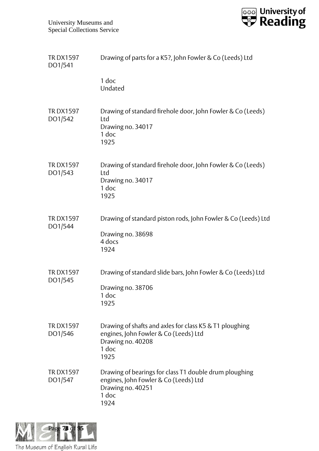

| <b>TRDX1597</b><br>DO1/541 | Drawing of parts for a K5?, John Fowler & Co (Leeds) Ltd                                                                               |
|----------------------------|----------------------------------------------------------------------------------------------------------------------------------------|
|                            | 1 doc<br>Undated                                                                                                                       |
| <b>TRDX1597</b><br>DO1/542 | Drawing of standard firehole door, John Fowler & Co (Leeds)<br>Ltd<br>Drawing no. 34017<br>1 doc<br>1925                               |
| <b>TRDX1597</b><br>DO1/543 | Drawing of standard firehole door, John Fowler & Co (Leeds)<br>Ltd<br>Drawing no. 34017<br>1 doc<br>1925                               |
| <b>TRDX1597</b><br>DO1/544 | Drawing of standard piston rods, John Fowler & Co (Leeds) Ltd<br>Drawing no. 38698<br>4 docs<br>1924                                   |
| <b>TRDX1597</b><br>DO1/545 | Drawing of standard slide bars, John Fowler & Co (Leeds) Ltd<br>Drawing no. 38706<br>1 doc<br>1925                                     |
| <b>TRDX1597</b><br>DO1/546 | Drawing of shafts and axles for class K5 & T1 ploughing<br>engines, John Fowler & Co (Leeds) Ltd<br>Drawing no. 40208<br>1 doc<br>1925 |
| <b>TRDX1597</b><br>DO1/547 | Drawing of bearings for class T1 double drum ploughing<br>engines, John Fowler & Co (Leeds) Ltd<br>Drawing no. 40251<br>1 doc<br>1924  |

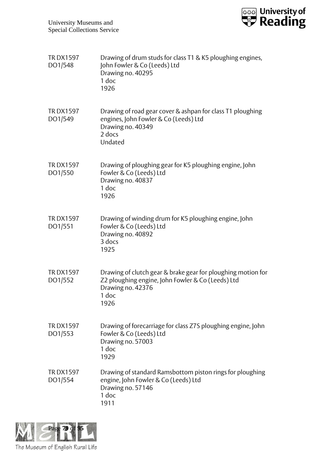

| <b>TRDX1597</b><br>DO1/548 | Drawing of drum studs for class T1 & K5 ploughing engines,<br>John Fowler & Co (Leeds) Ltd<br>Drawing no. 40295<br>1 doc<br>1926                        |
|----------------------------|---------------------------------------------------------------------------------------------------------------------------------------------------------|
| <b>TRDX1597</b><br>DO1/549 | Drawing of road gear cover & ashpan for class T1 ploughing<br>engines, John Fowler & Co (Leeds) Ltd<br>Drawing no. 40349<br>2 docs<br>Undated           |
| <b>TRDX1597</b><br>DO1/550 | Drawing of ploughing gear for K5 ploughing engine, John<br>Fowler & Co (Leeds) Ltd<br>Drawing no. 40837<br>1 doc<br>1926                                |
| <b>TRDX1597</b><br>DO1/551 | Drawing of winding drum for K5 ploughing engine, John<br>Fowler & Co (Leeds) Ltd<br>Drawing no. 40892<br>3 docs<br>1925                                 |
| <b>TRDX1597</b><br>DO1/552 | Drawing of clutch gear & brake gear for ploughing motion for<br>Z2 ploughing engine, John Fowler & Co (Leeds) Ltd<br>Drawing no. 42376<br>1 doc<br>1926 |
| <b>TRDX1597</b><br>DO1/553 | Drawing of forecarriage for class Z7S ploughing engine, John<br>Fowler & Co (Leeds) Ltd<br>Drawing no. 57003<br>1 doc<br>1929                           |
| <b>TRDX1597</b><br>DO1/554 | Drawing of standard Ramsbottom piston rings for ploughing<br>engine, John Fowler & Co (Leeds) Ltd<br>Drawing no. 57146<br>1 doc<br>1911                 |

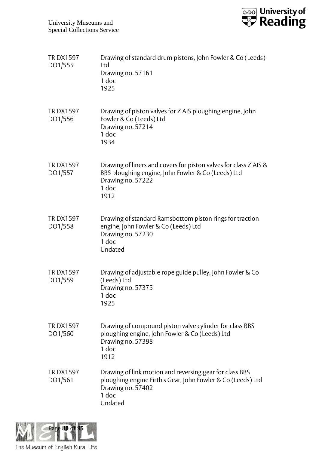

| <b>TRDX1597</b><br>DO1/555 | Drawing of standard drum pistons, John Fowler & Co (Leeds)<br>Ltd<br>Drawing no. 57161<br>1 doc<br>1925                                                         |
|----------------------------|-----------------------------------------------------------------------------------------------------------------------------------------------------------------|
| <b>TRDX1597</b><br>DO1/556 | Drawing of piston valves for Z AIS ploughing engine, John<br>Fowler & Co (Leeds) Ltd<br>Drawing no. 57214<br>1 doc<br>1934                                      |
| <b>TRDX1597</b><br>DO1/557 | Drawing of liners and covers for piston valves for class Z AIS &<br>BBS ploughing engine, John Fowler & Co (Leeds) Ltd<br>Drawing no. 57222<br>1 doc<br>1912    |
| <b>TRDX1597</b><br>DO1/558 | Drawing of standard Ramsbottom piston rings for traction<br>engine, John Fowler & Co (Leeds) Ltd<br>Drawing no. 57230<br>1 doc<br>Undated                       |
| <b>TRDX1597</b><br>DO1/559 | Drawing of adjustable rope guide pulley, John Fowler & Co<br>(Leeds) Ltd<br>Drawing no. 57375<br>1 doc<br>1925                                                  |
| <b>TRDX1597</b><br>DO1/560 | Drawing of compound piston valve cylinder for class BBS<br>ploughing engine, John Fowler & Co (Leeds) Ltd<br>Drawing no. 57398<br>1 doc<br>1912                 |
| <b>TRDX1597</b><br>DO1/561 | Drawing of link motion and reversing gear for class BBS<br>ploughing engine Firth's Gear, John Fowler & Co (Leeds) Ltd<br>Drawing no. 57402<br>1 doc<br>Undated |

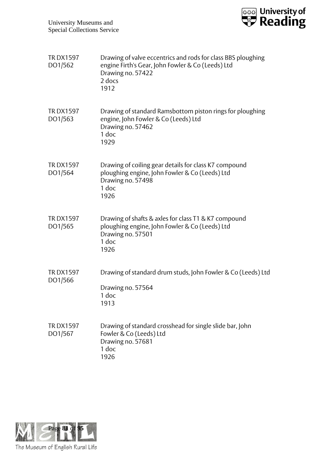

| <b>TRDX1597</b><br>DO1/562 | Drawing of valve eccentrics and rods for class BBS ploughing<br>engine Firth's Gear, John Fowler & Co (Leeds) Ltd<br>Drawing no. 57422<br>2 docs<br>1912 |
|----------------------------|----------------------------------------------------------------------------------------------------------------------------------------------------------|
| <b>TRDX1597</b><br>DO1/563 | Drawing of standard Ramsbottom piston rings for ploughing<br>engine, John Fowler & Co (Leeds) Ltd<br>Drawing no. 57462<br>1 doc<br>1929                  |
| <b>TRDX1597</b><br>DO1/564 | Drawing of coiling gear details for class K7 compound<br>ploughing engine, John Fowler & Co (Leeds) Ltd<br>Drawing no. 57498<br>1 doc<br>1926            |
| <b>TRDX1597</b><br>DO1/565 | Drawing of shafts & axles for class T1 & K7 compound<br>ploughing engine, John Fowler & Co (Leeds) Ltd<br>Drawing no. 57501<br>1 doc<br>1926             |
| <b>TRDX1597</b><br>DO1/566 | Drawing of standard drum studs, John Fowler & Co (Leeds) Ltd<br>Drawing no. 57564<br>1 doc<br>1913                                                       |
| <b>TRDX1597</b><br>DO1/567 | Drawing of standard crosshead for single slide bar, John<br>Fowler & Co (Leeds) Ltd<br>Drawing no. 57681<br>1 doc<br>1926                                |

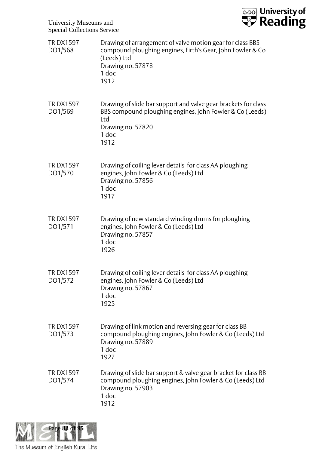

| <b>TRDX1597</b><br>DO1/568 | Drawing of arrangement of valve motion gear for class BBS<br>compound ploughing engines, Firth's Gear, John Fowler & Co<br>(Leeds) Ltd<br>Drawing no. 57878<br>1 doc<br>1912 |
|----------------------------|------------------------------------------------------------------------------------------------------------------------------------------------------------------------------|
| <b>TRDX1597</b><br>DO1/569 | Drawing of slide bar support and valve gear brackets for class<br>BBS compound ploughing engines, John Fowler & Co (Leeds)<br>Ltd<br>Drawing no. 57820<br>1 doc<br>1912      |
| <b>TRDX1597</b><br>DO1/570 | Drawing of coiling lever details for class AA ploughing<br>engines, John Fowler & Co (Leeds) Ltd<br>Drawing no. 57856<br>1 doc<br>1917                                       |
| <b>TRDX1597</b><br>DO1/571 | Drawing of new standard winding drums for ploughing<br>engines, John Fowler & Co (Leeds) Ltd<br>Drawing no. 57857<br>1 doc<br>1926                                           |
| <b>TRDX1597</b><br>DO1/572 | Drawing of coiling lever details for class AA ploughing<br>engines, John Fowler & Co (Leeds) Ltd<br>Drawing no. 57867<br>1 doc<br>1925                                       |
| <b>TRDX1597</b><br>DO1/573 | Drawing of link motion and reversing gear for class BB<br>compound ploughing engines, John Fowler & Co (Leeds) Ltd<br>Drawing no. 57889<br>1 doc<br>1927                     |
| <b>TRDX1597</b><br>DO1/574 | Drawing of slide bar support & valve gear bracket for class BB<br>compound ploughing engines, John Fowler & Co (Leeds) Ltd<br>Drawing no. 57903<br>1 doc<br>1912             |

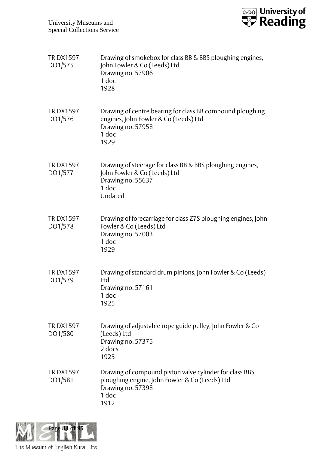

| <b>TRDX1597</b><br>DO1/575 | Drawing of smokebox for class BB & BBS ploughing engines,<br>John Fowler & Co (Leeds) Ltd<br>Drawing no. 57906<br>1 doc<br>1928                 |
|----------------------------|-------------------------------------------------------------------------------------------------------------------------------------------------|
| <b>TRDX1597</b><br>DO1/576 | Drawing of centre bearing for class BB compound ploughing<br>engines, John Fowler & Co (Leeds) Ltd<br>Drawing no. 57958<br>1 doc<br>1929        |
| <b>TRDX1597</b><br>DO1/577 | Drawing of steerage for class BB & BBS ploughing engines,<br>John Fowler & Co (Leeds) Ltd<br>Drawing no. 55637<br>1 doc<br>Undated              |
| <b>TRDX1597</b><br>DO1/578 | Drawing of forecarriage for class Z7S ploughing engines, John<br>Fowler & Co (Leeds) Ltd<br>Drawing no. 57003<br>1 doc<br>1929                  |
| <b>TRDX1597</b><br>DO1/579 | Drawing of standard drum pinions, John Fowler & Co (Leeds)<br>Ltd<br>Drawing no. 57161<br>1 doc<br>1925                                         |
| <b>TRDX1597</b><br>DO1/580 | Drawing of adjustable rope guide pulley, John Fowler & Co<br>(Leeds) Ltd<br>Drawing no. 57375<br>2 docs<br>1925                                 |
| <b>TRDX1597</b><br>DO1/581 | Drawing of compound piston valve cylinder for class BBS<br>ploughing engine, John Fowler & Co (Leeds) Ltd<br>Drawing no. 57398<br>1 doc<br>1912 |

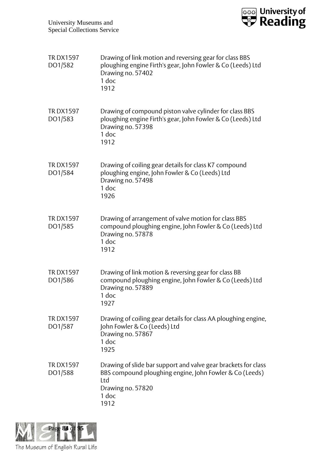

| <b>TRDX1597</b><br>DO1/582 | Drawing of link motion and reversing gear for class BBS<br>ploughing engine Firth's gear, John Fowler & Co (Leeds) Ltd<br>Drawing no. 57402<br>1 doc<br>1912           |
|----------------------------|------------------------------------------------------------------------------------------------------------------------------------------------------------------------|
| <b>TRDX1597</b><br>DO1/583 | Drawing of compound piston valve cylinder for class BBS<br>ploughing engine Firth's gear, John Fowler & Co (Leeds) Ltd<br>Drawing no. 57398<br>1 doc<br>1912           |
| <b>TRDX1597</b><br>DO1/584 | Drawing of coiling gear details for class K7 compound<br>ploughing engine, John Fowler & Co (Leeds) Ltd<br>Drawing no. 57498<br>$1$ doc<br>1926                        |
| <b>TRDX1597</b><br>DO1/585 | Drawing of arrangement of valve motion for class BBS<br>compound ploughing engine, John Fowler & Co (Leeds) Ltd<br>Drawing no. 57878<br>1 doc<br>1912                  |
| <b>TRDX1597</b><br>DO1/586 | Drawing of link motion & reversing gear for class BB<br>compound ploughing engine, John Fowler & Co (Leeds) Ltd<br>Drawing no. 57889<br>1 doc<br>1927                  |
| <b>TRDX1597</b><br>DO1/587 | Drawing of coiling gear details for class AA ploughing engine,<br>John Fowler & Co (Leeds) Ltd<br>Drawing no. 57867<br>1 doc<br>1925                                   |
| <b>TRDX1597</b><br>DO1/588 | Drawing of slide bar support and valve gear brackets for class<br>BBS compound ploughing engine, John Fowler & Co (Leeds)<br>Ltd<br>Drawing no. 57820<br>1 doc<br>1912 |

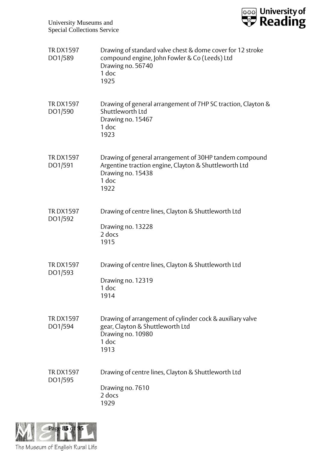

| <b>TRDX1597</b><br>DO1/589 | Drawing of standard valve chest & dome cover for 12 stroke<br>compound engine, John Fowler & Co (Leeds) Ltd<br>Drawing no. 56740<br>1 doc<br>1925     |
|----------------------------|-------------------------------------------------------------------------------------------------------------------------------------------------------|
| <b>TRDX1597</b><br>DO1/590 | Drawing of general arrangement of 7HP SC traction, Clayton &<br>Shuttleworth Ltd<br>Drawing no. 15467<br>1 doc<br>1923                                |
| <b>TRDX1597</b><br>DO1/591 | Drawing of general arrangement of 30HP tandem compound<br>Argentine traction engine, Clayton & Shuttleworth Ltd<br>Drawing no. 15438<br>1 doc<br>1922 |
| <b>TRDX1597</b><br>DO1/592 | Drawing of centre lines, Clayton & Shuttleworth Ltd<br>Drawing no. 13228<br>2 docs<br>1915                                                            |
| <b>TRDX1597</b><br>DO1/593 | Drawing of centre lines, Clayton & Shuttleworth Ltd<br>Drawing no. 12319<br>1 doc<br>1914                                                             |
| <b>TRDX1597</b><br>DO1/594 | Drawing of arrangement of cylinder cock & auxiliary valve<br>gear, Clayton & Shuttleworth Ltd<br>Drawing no. 10980<br>1 doc<br>1913                   |
| <b>TRDX1597</b><br>DO1/595 | Drawing of centre lines, Clayton & Shuttleworth Ltd<br>Drawing no. 7610<br>2 docs<br>1929                                                             |

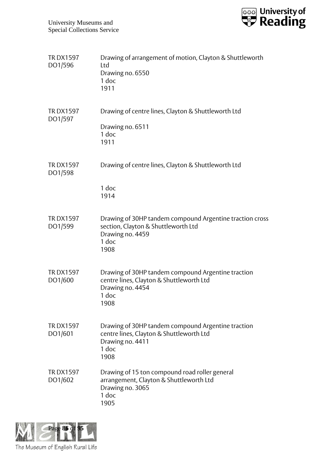

| <b>TRDX1597</b><br>DO1/596 | Drawing of arrangement of motion, Clayton & Shuttleworth<br>Ltd<br>Drawing no. 6550<br>1 doc<br>1911                                 |
|----------------------------|--------------------------------------------------------------------------------------------------------------------------------------|
| <b>TRDX1597</b><br>DO1/597 | Drawing of centre lines, Clayton & Shuttleworth Ltd<br>Drawing no. 6511<br>1 doc<br>1911                                             |
| <b>TRDX1597</b><br>DO1/598 | Drawing of centre lines, Clayton & Shuttleworth Ltd<br>1 doc<br>1914                                                                 |
| <b>TRDX1597</b><br>DO1/599 | Drawing of 30HP tandem compound Argentine traction cross<br>section, Clayton & Shuttleworth Ltd<br>Drawing no. 4459<br>1 doc<br>1908 |
| <b>TRDX1597</b><br>DO1/600 | Drawing of 30HP tandem compound Argentine traction<br>centre lines, Clayton & Shuttleworth Ltd<br>Drawing no. 4454<br>1 doc<br>1908  |
| <b>TRDX1597</b><br>DO1/601 | Drawing of 30HP tandem compound Argentine traction<br>centre lines, Clayton & Shuttleworth Ltd<br>Drawing no. 4411<br>1 doc<br>1908  |
| <b>TRDX1597</b><br>DO1/602 | Drawing of 15 ton compound road roller general<br>arrangement, Clayton & Shuttleworth Ltd<br>Drawing no. 3065<br>1 doc<br>1905       |

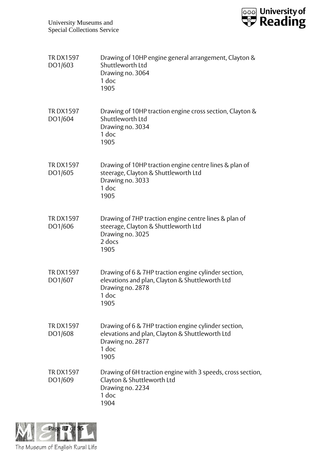

| <b>TRDX1597</b><br>DO1/603 | Drawing of 10HP engine general arrangement, Clayton &<br>Shuttleworth Ltd<br>Drawing no. 3064<br>1 doc<br>1905                               |
|----------------------------|----------------------------------------------------------------------------------------------------------------------------------------------|
| <b>TRDX1597</b><br>DO1/604 | Drawing of 10HP traction engine cross section, Clayton &<br>Shuttleworth Ltd<br>Drawing no. 3034<br>1 doc<br>1905                            |
| <b>TRDX1597</b><br>DO1/605 | Drawing of 10HP traction engine centre lines & plan of<br>steerage, Clayton & Shuttleworth Ltd<br>Drawing no. 3033<br>1 doc<br>1905          |
| <b>TRDX1597</b><br>DO1/606 | Drawing of 7HP traction engine centre lines & plan of<br>steerage, Clayton & Shuttleworth Ltd<br>Drawing no. 3025<br>2 docs<br>1905          |
| <b>TRDX1597</b><br>DO1/607 | Drawing of 6 & 7HP traction engine cylinder section,<br>elevations and plan, Clayton & Shuttleworth Ltd<br>Drawing no. 2878<br>1 doc<br>1905 |
| <b>TRDX1597</b><br>DO1/608 | Drawing of 6 & 7HP traction engine cylinder section,<br>elevations and plan, Clayton & Shuttleworth Ltd<br>Drawing no. 2877<br>1 doc<br>1905 |
| <b>TRDX1597</b><br>DO1/609 | Drawing of 6H traction engine with 3 speeds, cross section,<br>Clayton & Shuttleworth Ltd<br>Drawing no. 2234<br>1 doc<br>1904               |

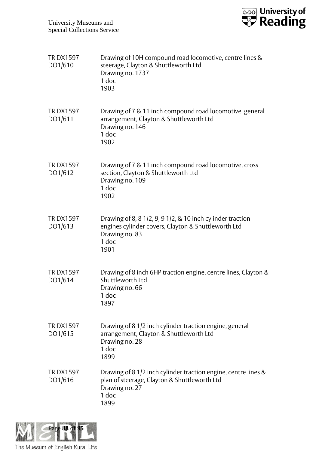

| <b>TRDX1597</b><br>DO1/610 | Drawing of 10H compound road locomotive, centre lines &<br>steerage, Clayton & Shuttleworth Ltd<br>Drawing no. 1737<br>1 doc<br>1903                       |
|----------------------------|------------------------------------------------------------------------------------------------------------------------------------------------------------|
| <b>TRDX1597</b><br>DO1/611 | Drawing of 7 & 11 inch compound road locomotive, general<br>arrangement, Clayton & Shuttleworth Ltd<br>Drawing no. 146<br>1 doc<br>1902                    |
| <b>TRDX1597</b><br>DO1/612 | Drawing of 7 & 11 inch compound road locomotive, cross<br>section, Clayton & Shuttleworth Ltd<br>Drawing no. 109<br>$1$ doc<br>1902                        |
| <b>TRDX1597</b><br>DO1/613 | Drawing of 8, 8 $1/2$ , 9, 9 $1/2$ , & 10 inch cylinder traction<br>engines cylinder covers, Clayton & Shuttleworth Ltd<br>Drawing no. 83<br>1 doc<br>1901 |
| <b>TRDX1597</b><br>DO1/614 | Drawing of 8 inch 6HP traction engine, centre lines, Clayton &<br>Shuttleworth Ltd<br>Drawing no. 66<br>1 doc<br>1897                                      |
| <b>TRDX1597</b><br>DO1/615 | Drawing of 8 1/2 inch cylinder traction engine, general<br>arrangement, Clayton & Shuttleworth Ltd<br>Drawing no. 28<br>1 doc<br>1899                      |
| <b>TRDX1597</b><br>DO1/616 | Drawing of 8 1/2 inch cylinder traction engine, centre lines &<br>plan of steerage, Clayton & Shuttleworth Ltd<br>Drawing no. 27<br>1 doc<br>1899          |

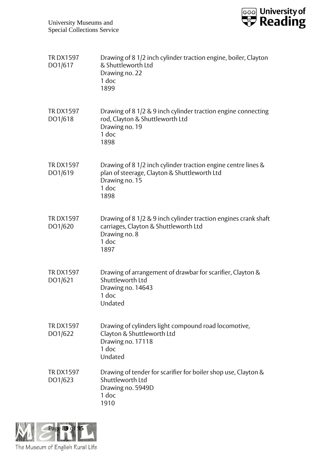

| <b>TRDX1597</b><br>DO1/617 | Drawing of 8 1/2 inch cylinder traction engine, boiler, Clayton<br>& Shuttleworth Ltd<br>Drawing no. 22<br>1 doc<br>1899                         |
|----------------------------|--------------------------------------------------------------------------------------------------------------------------------------------------|
| <b>TRDX1597</b><br>DO1/618 | Drawing of 8 1/2 & 9 inch cylinder traction engine connecting<br>rod, Clayton & Shuttleworth Ltd<br>Drawing no. 19<br>1 doc<br>1898              |
| <b>TRDX1597</b><br>DO1/619 | Drawing of 8 1/2 inch cylinder traction engine centre lines &<br>plan of steerage, Clayton & Shuttleworth Ltd<br>Drawing no. 15<br>1 doc<br>1898 |
| <b>TRDX1597</b><br>DO1/620 | Drawing of 8 1/2 & 9 inch cylinder traction engines crank shaft<br>carriages, Clayton & Shuttleworth Ltd<br>Drawing no. 8<br>1 doc<br>1897       |
| <b>TRDX1597</b><br>DO1/621 | Drawing of arrangement of drawbar for scarifier, Clayton &<br>Shuttleworth Ltd<br>Drawing no. 14643<br>1 doc<br>Undated                          |
| <b>TRDX1597</b><br>DO1/622 | Drawing of cylinders light compound road locomotive,<br>Clayton & Shuttleworth Ltd<br>Drawing no. 17118<br>1 doc<br>Undated                      |
| <b>TRDX1597</b><br>DO1/623 | Drawing of tender for scarifier for boiler shop use, Clayton &<br>Shuttleworth Ltd<br>Drawing no. 5949D<br>1 doc<br>1910                         |

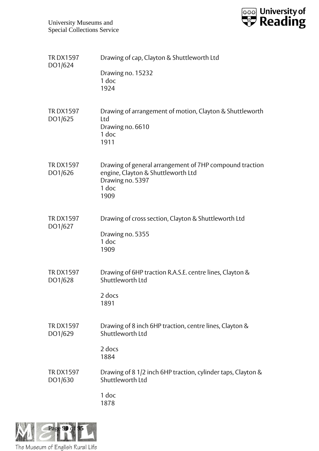

| <b>TRDX1597</b><br>DO1/624 | Drawing of cap, Clayton & Shuttleworth Ltd                                                                                         |
|----------------------------|------------------------------------------------------------------------------------------------------------------------------------|
|                            | Drawing no. 15232<br>1 doc<br>1924                                                                                                 |
| <b>TRDX1597</b><br>DO1/625 | Drawing of arrangement of motion, Clayton & Shuttleworth<br>Ltd<br>Drawing no. 6610<br>1 doc<br>1911                               |
| <b>TRDX1597</b><br>DO1/626 | Drawing of general arrangement of 7HP compound traction<br>engine, Clayton & Shuttleworth Ltd<br>Drawing no. 5397<br>1 doc<br>1909 |
| <b>TRDX1597</b><br>DO1/627 | Drawing of cross section, Clayton & Shuttleworth Ltd<br>Drawing no. 5355<br>1 doc<br>1909                                          |
| <b>TRDX1597</b><br>DO1/628 | Drawing of 6HP traction R.A.S.E. centre lines, Clayton &<br>Shuttleworth Ltd                                                       |
|                            | 2 docs<br>1891                                                                                                                     |
| <b>TRDX1597</b><br>DO1/629 | Drawing of 8 inch 6HP traction, centre lines, Clayton &<br>Shuttleworth Ltd                                                        |
|                            | 2 docs<br>1884                                                                                                                     |
| <b>TRDX1597</b><br>DO1/630 | Drawing of 8 1/2 inch 6HP traction, cylinder taps, Clayton &<br>Shuttleworth Ltd                                                   |
|                            | 1 doc<br>1878                                                                                                                      |

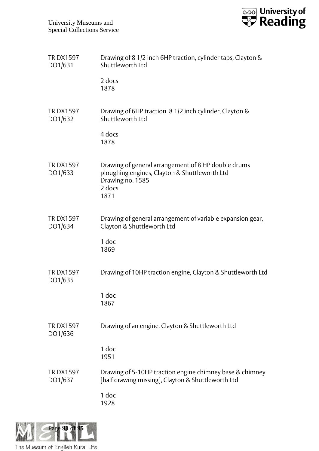

| <b>TRDX1597</b><br>DO1/631 | Drawing of 8 1/2 inch 6HP traction, cylinder taps, Clayton &<br>Shuttleworth Ltd                                                           |
|----------------------------|--------------------------------------------------------------------------------------------------------------------------------------------|
|                            | 2 docs<br>1878                                                                                                                             |
| <b>TRDX1597</b><br>DO1/632 | Drawing of 6HP traction 8 1/2 inch cylinder, Clayton &<br>Shuttleworth Ltd                                                                 |
|                            | 4 docs<br>1878                                                                                                                             |
| <b>TRDX1597</b><br>DO1/633 | Drawing of general arrangement of 8 HP double drums<br>ploughing engines, Clayton & Shuttleworth Ltd<br>Drawing no. 1585<br>2 docs<br>1871 |
| <b>TRDX1597</b><br>DO1/634 | Drawing of general arrangement of variable expansion gear,<br>Clayton & Shuttleworth Ltd<br>1 doc                                          |
|                            | 1869                                                                                                                                       |
| <b>TRDX1597</b><br>DO1/635 | Drawing of 10HP traction engine, Clayton & Shuttleworth Ltd                                                                                |
|                            | 1 doc<br>1867                                                                                                                              |
| <b>TRDX1597</b><br>DO1/636 | Drawing of an engine, Clayton & Shuttleworth Ltd                                                                                           |
|                            | 1 doc<br>1951                                                                                                                              |
| <b>TRDX1597</b><br>DO1/637 | Drawing of 5-10HP traction engine chimney base & chimney<br>[half drawing missing], Clayton & Shuttleworth Ltd                             |
|                            | 1 doc<br>1928                                                                                                                              |

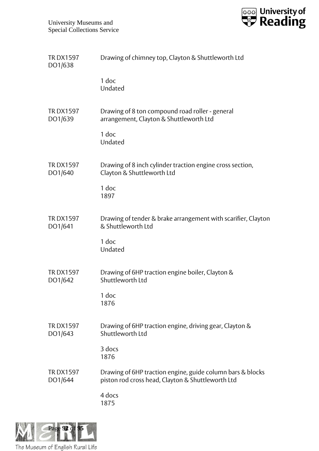

| <b>TRDX1597</b><br>DO1/638 | Drawing of chimney top, Clayton & Shuttleworth Ltd                                                              |
|----------------------------|-----------------------------------------------------------------------------------------------------------------|
|                            | 1 doc<br>Undated                                                                                                |
| <b>TRDX1597</b><br>DO1/639 | Drawing of 8 ton compound road roller - general<br>arrangement, Clayton & Shuttleworth Ltd                      |
|                            | 1 doc<br>Undated                                                                                                |
| <b>TRDX1597</b><br>DO1/640 | Drawing of 8 inch cylinder traction engine cross section,<br>Clayton & Shuttleworth Ltd                         |
|                            | 1 doc<br>1897                                                                                                   |
| <b>TRDX1597</b><br>DO1/641 | Drawing of tender & brake arrangement with scarifier, Clayton<br>& Shuttleworth Ltd                             |
|                            | 1 doc<br>Undated                                                                                                |
| <b>TRDX1597</b><br>DO1/642 | Drawing of 6HP traction engine boiler, Clayton &<br>Shuttleworth Ltd                                            |
|                            | 1 doc<br>1876                                                                                                   |
| <b>TRDX1597</b><br>DO1/643 | Drawing of 6HP traction engine, driving gear, Clayton &<br>Shuttleworth Ltd                                     |
|                            | 3 docs<br>1876                                                                                                  |
| <b>TRDX1597</b><br>DO1/644 | Drawing of 6HP traction engine, guide column bars & blocks<br>piston rod cross head, Clayton & Shuttleworth Ltd |
|                            | 4 docs<br>1875                                                                                                  |

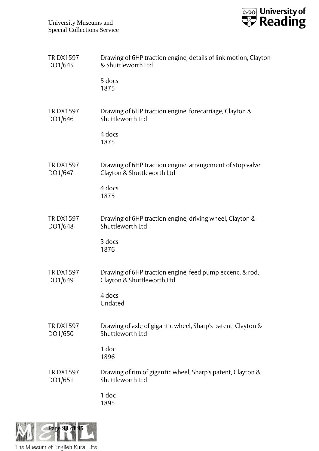

| <b>TRDX1597</b> | Drawing of 6HP traction engine, details of link motion, Clayton |
|-----------------|-----------------------------------------------------------------|
| DO1/645         | & Shuttleworth Ltd                                              |
|                 | 5 docs<br>1875                                                  |
| <b>TRDX1597</b> | Drawing of 6HP traction engine, forecarriage, Clayton &         |
| DO1/646         | Shuttleworth Ltd                                                |
|                 | 4 docs<br>1875                                                  |
| <b>TRDX1597</b> | Drawing of 6HP traction engine, arrangement of stop valve,      |
| DO1/647         | Clayton & Shuttleworth Ltd                                      |
|                 | 4 docs<br>1875                                                  |
| <b>TRDX1597</b> | Drawing of 6HP traction engine, driving wheel, Clayton &        |
| DO1/648         | Shuttleworth Ltd                                                |
|                 | 3 docs<br>1876                                                  |
| <b>TRDX1597</b> | Drawing of 6HP traction engine, feed pump eccenc. & rod,        |
| DO1/649         | Clayton & Shuttleworth Ltd                                      |
|                 | 4 docs<br>Undated                                               |
| <b>TRDX1597</b> | Drawing of axle of gigantic wheel, Sharp's patent, Clayton &    |
| DO1/650         | Shuttleworth Ltd                                                |
|                 | 1 doc<br>1896                                                   |
| <b>TRDX1597</b> | Drawing of rim of gigantic wheel, Sharp's patent, Clayton &     |
| DO1/651         | Shuttleworth Ltd                                                |
|                 | 1 doc<br>1895                                                   |

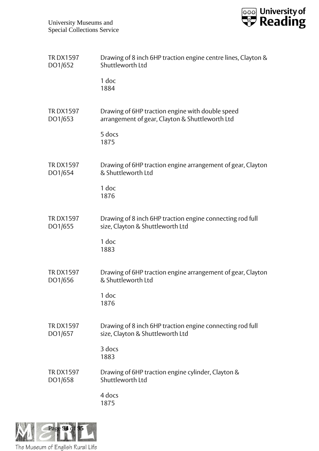

| <b>TRDX1597</b> | Drawing of 8 inch 6HP traction engine centre lines, Clayton & |
|-----------------|---------------------------------------------------------------|
| DO1/652         | Shuttleworth Ltd                                              |
|                 | 1 doc<br>1884                                                 |
| <b>TRDX1597</b> | Drawing of 6HP traction engine with double speed              |
| DO1/653         | arrangement of gear, Clayton & Shuttleworth Ltd               |
|                 | 5 docs<br>1875                                                |
| <b>TRDX1597</b> | Drawing of 6HP traction engine arrangement of gear, Clayton   |
| DO1/654         | & Shuttleworth Ltd                                            |
|                 | 1 doc<br>1876                                                 |
| <b>TRDX1597</b> | Drawing of 8 inch 6HP traction engine connecting rod full     |
| DO1/655         | size, Clayton & Shuttleworth Ltd                              |
|                 | 1 doc<br>1883                                                 |
| <b>TRDX1597</b> | Drawing of 6HP traction engine arrangement of gear, Clayton   |
| DO1/656         | & Shuttleworth Ltd                                            |
|                 | 1 doc<br>1876                                                 |
| <b>TRDX1597</b> | Drawing of 8 inch 6HP traction engine connecting rod full     |
| DO1/657         | size, Clayton & Shuttleworth Ltd                              |
|                 | 3 docs<br>1883                                                |
| <b>TRDX1597</b> | Drawing of 6HP traction engine cylinder, Clayton &            |
| DO1/658         | Shuttleworth Ltd                                              |
|                 | 4 docs<br>1875                                                |